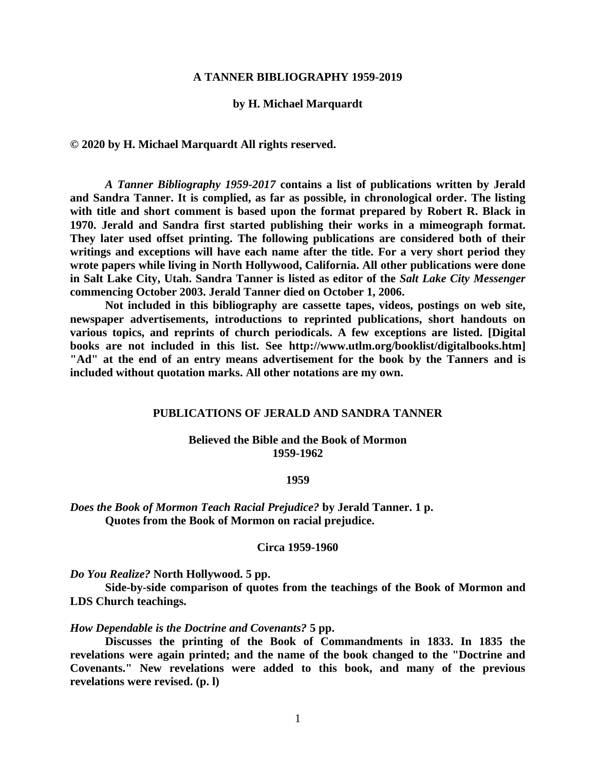### **A TANNER BIBLIOGRAPHY 1959-2019**

## **by H. Michael Marquardt**

**© 2020 by H. Michael Marquardt All rights reserved.**

*A Tanner Bibliography 1959-2017* **contains a list of publications written by Jerald and Sandra Tanner. It is complied, as far as possible, in chronological order. The listing with title and short comment is based upon the format prepared by Robert R. Black in 1970. Jerald and Sandra first started publishing their works in a mimeograph format. They later used offset printing. The following publications are considered both of their writings and exceptions will have each name after the title. For a very short period they wrote papers while living in North Hollywood, California. All other publications were done in Salt Lake City, Utah. Sandra Tanner is listed as editor of the** *Salt Lake City Messenger* **commencing October 2003. Jerald Tanner died on October 1, 2006.**

**Not included in this bibliography are cassette tapes, videos, postings on web site, newspaper advertisements, introductions to reprinted publications, short handouts on various topics, and reprints of church periodicals. A few exceptions are listed. [Digital books are not included in this list. See [http://www.utlm.org/booklist/digitalbooks.htm\]](http://www.utlm.org/booklist/digitalbooks.htm) "Ad" at the end of an entry means advertisement for the book by the Tanners and is included without quotation marks. All other notations are my own.**

## **PUBLICATIONS OF JERALD AND SANDRA TANNER**

### **Believed the Bible and the Book of Mormon 1959-1962**

#### **1959**

*Does the Book of Mormon Teach Racial Prejudice?* **by Jerald Tanner. 1 p. Quotes from the Book of Mormon on racial prejudice.**

#### **Circa 1959-1960**

*Do You Realize?* **North Hollywood. 5 pp.** 

**Side-by-side comparison of quotes from the teachings of the Book of Mormon and LDS Church teachings.**

### *How Dependable is the Doctrine and Covenants?* **5 pp.**

**Discusses the printing of the Book of Commandments in 1833. In 1835 the revelations were again printed; and the name of the book changed to the "Doctrine and Covenants." New revelations were added to this book, and many of the previous revelations were revised. (p. l)**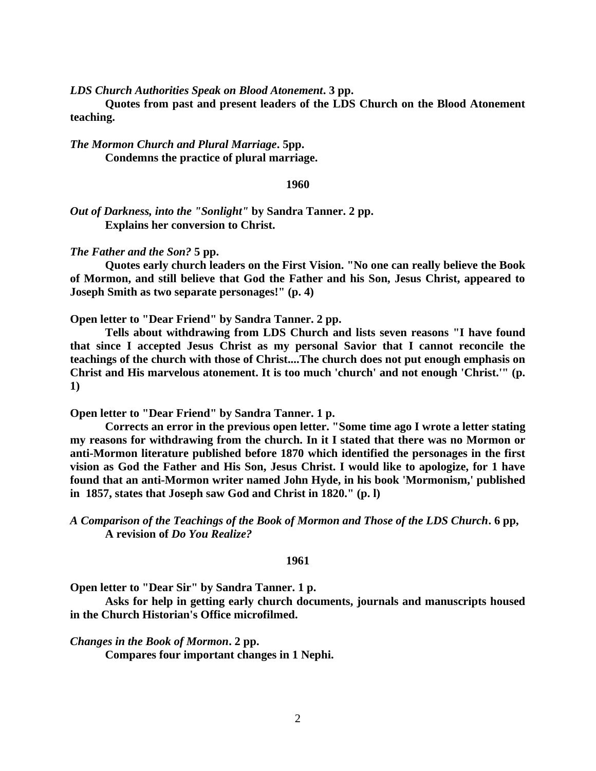*LDS Church Authorities Speak on Blood Atonement***. 3 pp.** 

**Quotes from past and present leaders of the LDS Church on the Blood Atonement teaching.**

*The Mormon Church and Plural Marriage***. 5pp. Condemns the practice of plural marriage.**

**1960**

*Out of Darkness, into the "Sonlight"* **by Sandra Tanner. 2 pp. Explains her conversion to Christ.** 

*The Father and the Son?* **5 pp.**

**Quotes early church leaders on the First Vision. "No one can really believe the Book of Mormon, and still believe that God the Father and his Son, Jesus Christ, appeared to Joseph Smith as two separate personages!" (p. 4)**

**Open letter to "Dear Friend" by Sandra Tanner. 2 pp.** 

**Tells about withdrawing from LDS Church and lists seven reasons "I have found that since I accepted Jesus Christ as my personal Savior that I cannot reconcile the teachings of the church with those of Christ....The church does not put enough emphasis on Christ and His marvelous atonement. It is too much 'church' and not enough 'Christ.'" (p. 1)**

**Open letter to "Dear Friend" by Sandra Tanner. 1 p.** 

**Corrects an error in the previous open letter. "Some time ago I wrote a letter stating my reasons for withdrawing from the church. In it I stated that there was no Mormon or anti-Mormon literature published before 1870 which identified the personages in the first vision as God the Father and His Son, Jesus Christ. I would like to apologize, for 1 have found that an anti-Mormon writer named John Hyde, in his book 'Mormonism,' published in 1857, states that Joseph saw God and Christ in 1820." (p. l)**

*A Comparison of the Teachings of the Book of Mormon and Those of the LDS Church***. 6 pp, A revision of** *Do You Realize?*

#### **1961**

**Open letter to "Dear Sir" by Sandra Tanner. 1 p.**

**Asks for help in getting early church documents, journals and manuscripts housed in the Church Historian's Office microfilmed.**

*Changes in the Book of Mormon***. 2 pp.** 

**Compares four important changes in 1 Nephi.**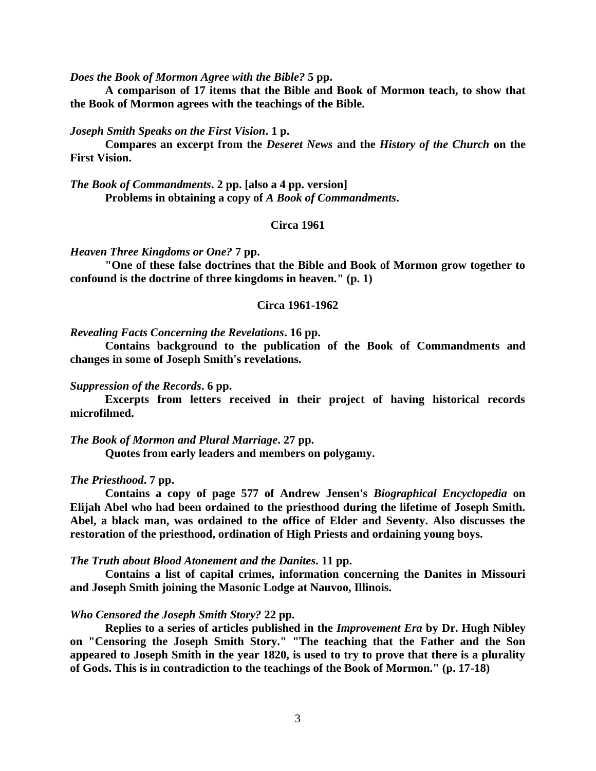*Does the Book of Mormon Agree with the Bible?* **5 pp.** 

**A comparison of 17 items that the Bible and Book of Mormon teach, to show that the Book of Mormon agrees with the teachings of the Bible.**

#### *Joseph Smith Speaks on the First Vision***. 1 p.**

**Compares an excerpt from the** *Deseret News* **and the** *History of the Church* **on the First Vision.**

*The Book of Commandments***. 2 pp. [also a 4 pp. version] Problems in obtaining a copy of** *A Book of Commandments***.**

# **Circa 1961**

*Heaven Three Kingdoms or One?* **7 pp.** 

**"One of these false doctrines that the Bible and Book of Mormon grow together to confound is the doctrine of three kingdoms in heaven." (p. 1)**

## **Circa 1961-1962**

#### *Revealing Facts Concerning the Revelations***. 16 pp.**

**Contains background to the publication of the Book of Commandments and changes in some of Joseph Smith's revelations.**

## *Suppression of the Records***. 6 pp.**

**Excerpts from letters received in their project of having historical records microfilmed.**

### *The Book of Mormon and Plural Marriage***. 27 pp.**

**Quotes from early leaders and members on polygamy.**

#### *The Priesthood***. 7 pp.**

**Contains a copy of page 577 of Andrew Jensen's** *Biographical Encyclopedia* **on Elijah Abel who had been ordained to the priesthood during the lifetime of Joseph Smith. Abel, a black man, was ordained to the office of Elder and Seventy. Also discusses the restoration of the priesthood, ordination of High Priests and ordaining young boys.**

#### *The Truth about Blood Atonement and the Danites***. 11 pp.**

**Contains a list of capital crimes, information concerning the Danites in Missouri and Joseph Smith joining the Masonic Lodge at Nauvoo, Illinois.**

#### *Who Censored the Joseph Smith Story?* **22 pp.**

**Replies to a series of articles published in the** *Improvement Era* **by Dr. Hugh Nibley on "Censoring the Joseph Smith Story." "The teaching that the Father and the Son appeared to Joseph Smith in the year 1820, is used to try to prove that there is a plurality of Gods. This is in contradiction to the teachings of the Book of Mormon." (p. 17-18)**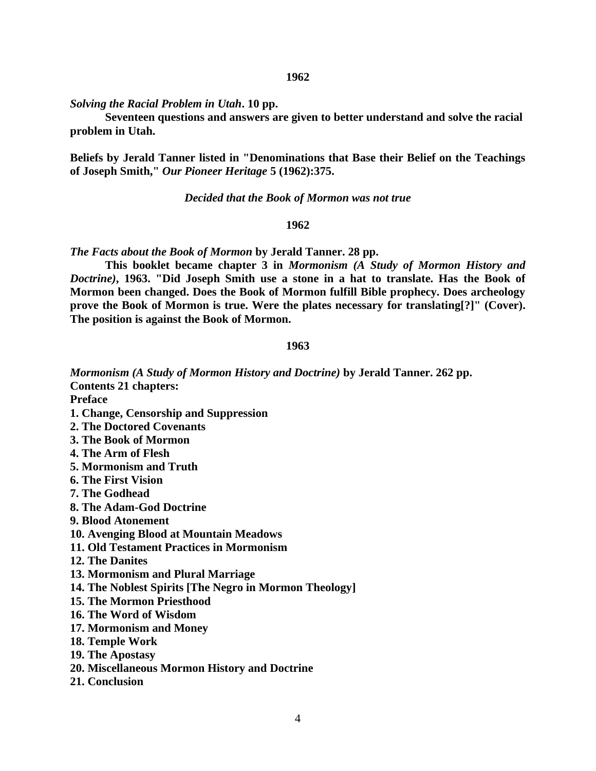*Solving the Racial Problem in Utah***. 10 pp.** 

**Seventeen questions and answers are given to better understand and solve the racial problem in Utah.**

**Beliefs by Jerald Tanner listed in "Denominations that Base their Belief on the Teachings of Joseph Smith,"** *Our Pioneer Heritage* **5 (1962):375.**

*Decided that the Book of Mormon was not true*

## **1962**

*The Facts about the Book of Mormon* **by Jerald Tanner. 28 pp.** 

**This booklet became chapter 3 in** *Mormonism (A Study of Mormon History and Doctrine)***, 1963. "Did Joseph Smith use a stone in a hat to translate. Has the Book of Mormon been changed. Does the Book of Mormon fulfill Bible prophecy. Does archeology prove the Book of Mormon is true. Were the plates necessary for translating[?]" (Cover). The position is against the Book of Mormon.**

#### **1963**

*Mormonism (A Study of Mormon History and Doctrine)* **by Jerald Tanner. 262 pp. Contents 21 chapters:** 

**Preface**

- **1. Change, Censorship and Suppression**
- **2. The Doctored Covenants**
- **3. The Book of Mormon**
- **4. The Arm of Flesh**
- **5. Mormonism and Truth**
- **6. The First Vision**
- **7. The Godhead**
- **8. The Adam-God Doctrine**
- **9. Blood Atonement**
- **10. Avenging Blood at Mountain Meadows**
- **11. Old Testament Practices in Mormonism**
- **12. The Danites**
- **13. Mormonism and Plural Marriage**
- **14. The Noblest Spirits [The Negro in Mormon Theology]**
- **15. The Mormon Priesthood**
- **16. The Word of Wisdom**
- **17. Mormonism and Money**
- **18. Temple Work**
- **19. The Apostasy**
- **20. Miscellaneous Mormon History and Doctrine**
- **21. Conclusion**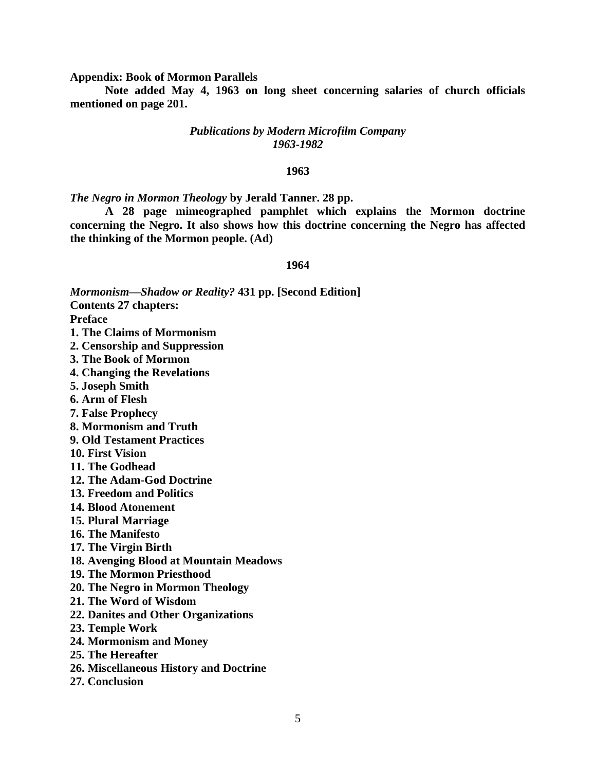**Appendix: Book of Mormon Parallels**

**Note added May 4, 1963 on long sheet concerning salaries of church officials mentioned on page 201.**

## *Publications by Modern Microfilm Company 1963-1982*

## **1963**

*The Negro in Mormon Theology* **by Jerald Tanner. 28 pp.**

**A 28 page mimeographed pamphlet which explains the Mormon doctrine concerning the Negro. It also shows how this doctrine concerning the Negro has affected the thinking of the Mormon people. (Ad)**

#### **1964**

*Mormonism—Shadow or Reality?* **431 pp. [Second Edition]**

**Contents 27 chapters:**

**Preface**

- **1. The Claims of Mormonism**
- **2. Censorship and Suppression**
- **3. The Book of Mormon**
- **4. Changing the Revelations**
- **5. Joseph Smith**
- **6. Arm of Flesh**
- **7. False Prophecy**
- **8. Mormonism and Truth**
- **9. Old Testament Practices**
- **10. First Vision**
- **11. The Godhead**
- **12. The Adam-God Doctrine**
- **13. Freedom and Politics**
- **14. Blood Atonement**
- **15. Plural Marriage**
- **16. The Manifesto**
- **17. The Virgin Birth**
- **18. Avenging Blood at Mountain Meadows**
- **19. The Mormon Priesthood**
- **20. The Negro in Mormon Theology**
- **21. The Word of Wisdom**
- **22. Danites and Other Organizations**
- **23. Temple Work**
- **24. Mormonism and Money**
- **25. The Hereafter**
- **26. Miscellaneous History and Doctrine**
- **27. Conclusion**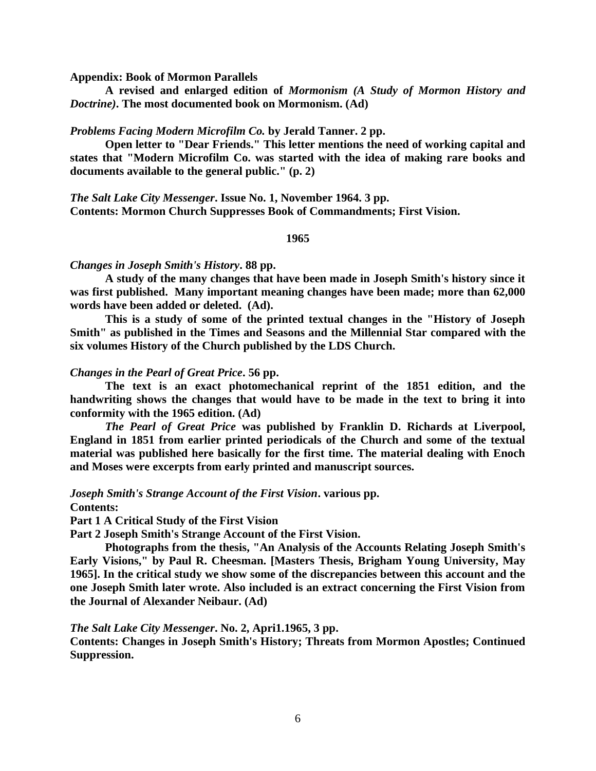**Appendix: Book of Mormon Parallels**

**A revised and enlarged edition of** *Mormonism (A Study of Mormon History and Doctrine)***. The most documented book on Mormonism. (Ad)**

## *Problems Facing Modern Microfilm Co.* **by Jerald Tanner. 2 pp.**

**Open letter to "Dear Friends." This letter mentions the need of working capital and states that "Modern Microfilm Co. was started with the idea of making rare books and documents available to the general public." (p. 2)**

*The Salt Lake City Messenger***. Issue No. 1, November 1964. 3 pp. Contents: Mormon Church Suppresses Book of Commandments; First Vision.**

### **1965**

#### *Changes in Joseph Smith's History***. 88 pp.**

**A study of the many changes that have been made in Joseph Smith's history since it was first published. Many important meaning changes have been made; more than 62,000 words have been added or deleted. (Ad).** 

**This is a study of some of the printed textual changes in the "History of Joseph Smith" as published in the Times and Seasons and the Millennial Star compared with the six volumes History of the Church published by the LDS Church.**

## *Changes in the Pearl of Great Price***. 56 pp.**

**The text is an exact photomechanical reprint of the 1851 edition, and the handwriting shows the changes that would have to be made in the text to bring it into conformity with the 1965 edition. (Ad)** 

*The Pearl of Great Price* **was published by Franklin D. Richards at Liverpool, England in 1851 from earlier printed periodicals of the Church and some of the textual material was published here basically for the first time. The material dealing with Enoch and Moses were excerpts from early printed and manuscript sources.**

*Joseph Smith's Strange Account of the First Vision***. various pp.** 

**Contents:** 

**Part 1 A Critical Study of the First Vision**

**Part 2 Joseph Smith's Strange Account of the First Vision.** 

**Photographs from the thesis, "An Analysis of the Accounts Relating Joseph Smith's Early Visions," by Paul R. Cheesman. [Masters Thesis, Brigham Young University, May 1965]. In the critical study we show some of the discrepancies between this account and the one Joseph Smith later wrote. Also included is an extract concerning the First Vision from the Journal of Alexander Neibaur. (Ad)**

## *The Salt Lake City Messenger***. No. 2, Apri1.1965, 3 pp.**

**Contents: Changes in Joseph Smith's History; Threats from Mormon Apostles; Continued Suppression.**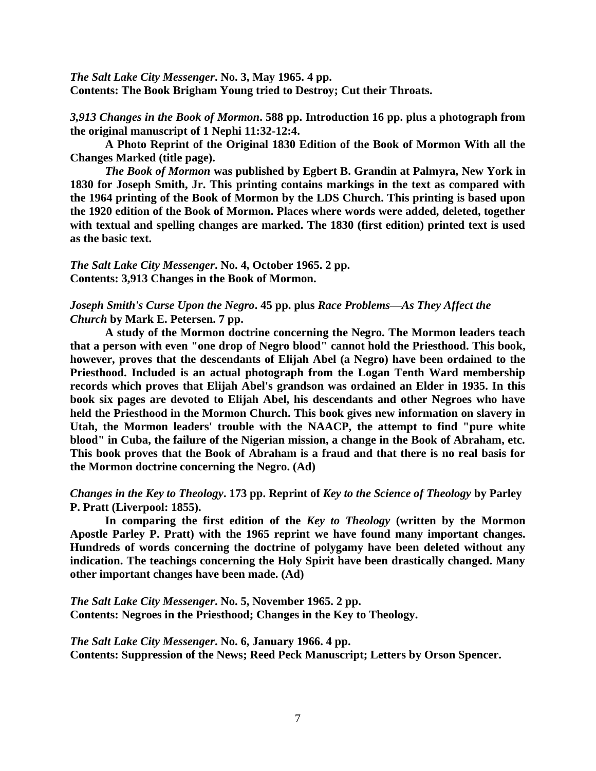*The Salt Lake City Messenger***. No. 3, May 1965. 4 pp. Contents: The Book Brigham Young tried to Destroy; Cut their Throats.**

*3,913 Changes in the Book of Mormon***. 588 pp. Introduction 16 pp. plus a photograph from the original manuscript of 1 Nephi 11:32-12:4.** 

**A Photo Reprint of the Original 1830 Edition of the Book of Mormon With all the Changes Marked (title page).** 

*The Book of Mormon* **was published by Egbert B. Grandin at Palmyra, New York in 1830 for Joseph Smith, Jr. This printing contains markings in the text as compared with the 1964 printing of the Book of Mormon by the LDS Church. This printing is based upon the 1920 edition of the Book of Mormon. Places where words were added, deleted, together with textual and spelling changes are marked. The 1830 (first edition) printed text is used as the basic text.**

*The Salt Lake City Messenger***. No. 4, October 1965. 2 pp. Contents: 3,913 Changes in the Book of Mormon.**

# *Joseph Smith's Curse Upon the Negro***. 45 pp. plus** *Race Problems—As They Affect the Church* **by Mark E. Petersen. 7 pp.**

**A study of the Mormon doctrine concerning the Negro. The Mormon leaders teach that a person with even "one drop of Negro blood" cannot hold the Priesthood. This book, however, proves that the descendants of Elijah Abel (a Negro) have been ordained to the Priesthood. Included is an actual photograph from the Logan Tenth Ward membership records which proves that Elijah Abel's grandson was ordained an Elder in 1935. In this book six pages are devoted to Elijah Abel, his descendants and other Negroes who have held the Priesthood in the Mormon Church. This book gives new information on slavery in Utah, the Mormon leaders' trouble with the NAACP, the attempt to find "pure white blood" in Cuba, the failure of the Nigerian mission, a change in the Book of Abraham, etc. This book proves that the Book of Abraham is a fraud and that there is no real basis for the Mormon doctrine concerning the Negro. (Ad)**

*Changes in the Key to Theology***. 173 pp. Reprint of** *Key to the Science of Theology* **by Parley P. Pratt (Liverpool: 1855).**

**In comparing the first edition of the** *Key to Theology* **(written by the Mormon Apostle Parley P. Pratt) with the 1965 reprint we have found many important changes. Hundreds of words concerning the doctrine of polygamy have been deleted without any indication. The teachings concerning the Holy Spirit have been drastically changed. Many other important changes have been made. (Ad)**

*The Salt Lake City Messenger***. No. 5, November 1965. 2 pp. Contents: Negroes in the Priesthood; Changes in the Key to Theology.**

*The Salt Lake City Messenger***. No. 6, January 1966. 4 pp. Contents: Suppression of the News; Reed Peck Manuscript; Letters by Orson Spencer.**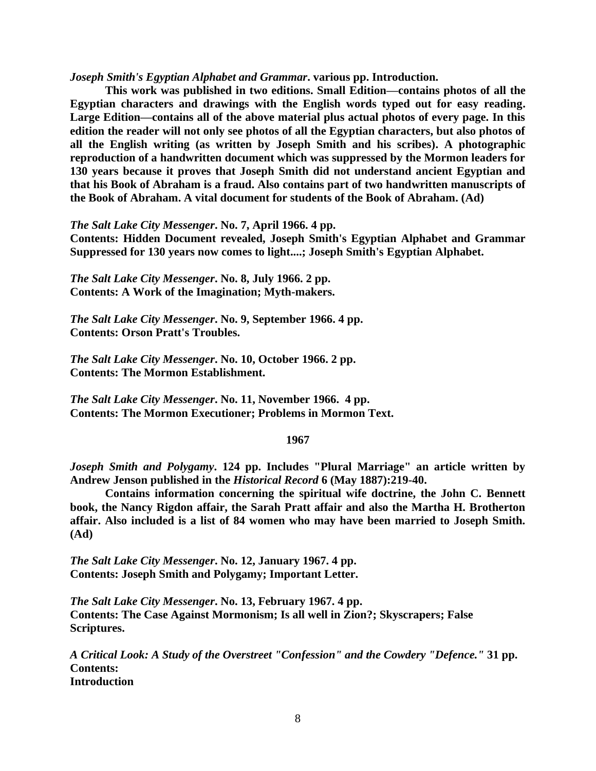*Joseph Smith's Egyptian Alphabet and Grammar***. various pp. Introduction.**

**This work was published in two editions. Small Edition—contains photos of all the Egyptian characters and drawings with the English words typed out for easy reading. Large Edition—contains all of the above material plus actual photos of every page. In this edition the reader will not only see photos of all the Egyptian characters, but also photos of all the English writing (as written by Joseph Smith and his scribes). A photographic reproduction of a handwritten document which was suppressed by the Mormon leaders for 130 years because it proves that Joseph Smith did not understand ancient Egyptian and that his Book of Abraham is a fraud. Also contains part of two handwritten manuscripts of the Book of Abraham. A vital document for students of the Book of Abraham. (Ad)**

*The Salt Lake City Messenger***. No. 7, April 1966. 4 pp.** 

**Contents: Hidden Document revealed, Joseph Smith's Egyptian Alphabet and Grammar Suppressed for 130 years now comes to light....; Joseph Smith's Egyptian Alphabet.**

*The Salt Lake City Messenger***. No. 8, July 1966. 2 pp. Contents: A Work of the Imagination; Myth-makers.**

*The Salt Lake City Messenger***. No. 9, September 1966. 4 pp. Contents: Orson Pratt's Troubles.**

*The Salt Lake City Messenger***. No. 10, October 1966. 2 pp. Contents: The Mormon Establishment.**

*The Salt Lake City Messenger***. No. 11, November 1966. 4 pp. Contents: The Mormon Executioner; Problems in Mormon Text.**

### **1967**

*Joseph Smith and Polygamy***. 124 pp. Includes "Plural Marriage" an article written by Andrew Jenson published in the** *Historical Record* **6 (May 1887):219-40.** 

**Contains information concerning the spiritual wife doctrine, the John C. Bennett book, the Nancy Rigdon affair, the Sarah Pratt affair and also the Martha H. Brotherton affair. Also included is a list of 84 women who may have been married to Joseph Smith. (Ad)**

*The Salt Lake City Messenger***. No. 12, January 1967. 4 pp. Contents: Joseph Smith and Polygamy; Important Letter.**

*The Salt Lake City Messenger***. No. 13, February 1967. 4 pp. Contents: The Case Against Mormonism; Is all well in Zion?; Skyscrapers; False Scriptures.**

*A Critical Look: A Study of the Overstreet "Confession" and the Cowdery "Defence."* **31 pp. Contents: Introduction**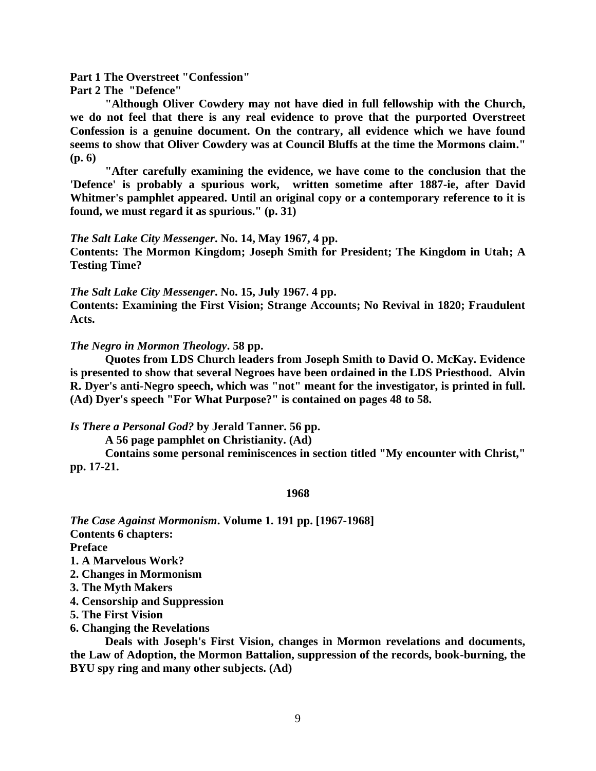**Part 1 The Overstreet "Confession"**

**Part 2 The "Defence"**

**"Although Oliver Cowdery may not have died in full fellowship with the Church, we do not feel that there is any real evidence to prove that the purported Overstreet Confession is a genuine document. On the contrary, all evidence which we have found seems to show that Oliver Cowdery was at Council Bluffs at the time the Mormons claim." (p. 6)** 

**"After carefully examining the evidence, we have come to the conclusion that the 'Defence' is probably a spurious work, written sometime after 1887-ie, after David Whitmer's pamphlet appeared. Until an original copy or a contemporary reference to it is found, we must regard it as spurious." (p. 31)**

#### *The Salt Lake City Messenger***. No. 14, May 1967, 4 pp.**

**Contents: The Mormon Kingdom; Joseph Smith for President; The Kingdom in Utah; A Testing Time?**

*The Salt Lake City Messenger***. No. 15, July 1967. 4 pp.** 

**Contents: Examining the First Vision; Strange Accounts; No Revival in 1820; Fraudulent Acts.**

*The Negro in Mormon Theology***. 58 pp.**

**Quotes from LDS Church leaders from Joseph Smith to David O. McKay. Evidence is presented to show that several Negroes have been ordained in the LDS Priesthood. Alvin R. Dyer's anti-Negro speech, which was "not" meant for the investigator, is printed in full. (Ad) Dyer's speech "For What Purpose?" is contained on pages 48 to 58.**

*Is There a Personal God?* **by Jerald Tanner. 56 pp.**

**A 56 page pamphlet on Christianity. (Ad)** 

**Contains some personal reminiscences in section titled "My encounter with Christ," pp. 17-21.**

#### **1968**

*The Case Against Mormonism***. Volume 1. 191 pp. [1967-1968] Contents 6 chapters: Preface 1. A Marvelous Work? 2. Changes in Mormonism**

- **3. The Myth Makers**
- **4. Censorship and Suppression**
- **5. The First Vision**
- **6. Changing the Revelations**

**Deals with Joseph's First Vision, changes in Mormon revelations and documents, the Law of Adoption, the Mormon Battalion, suppression of the records, book-burning, the BYU spy ring and many other subjects. (Ad)**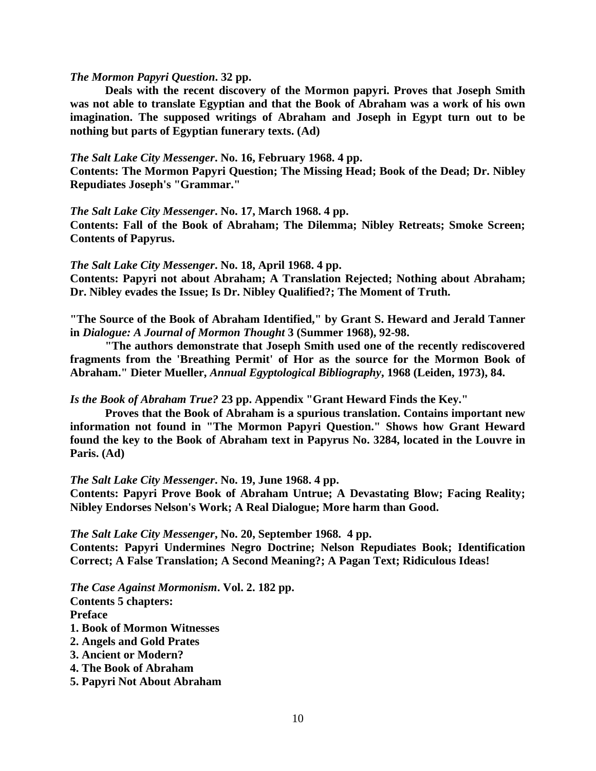## *The Mormon Papyri Question***. 32 pp.**

**Deals with the recent discovery of the Mormon papyri. Proves that Joseph Smith was not able to translate Egyptian and that the Book of Abraham was a work of his own imagination. The supposed writings of Abraham and Joseph in Egypt turn out to be nothing but parts of Egyptian funerary texts. (Ad)**

### *The Salt Lake City Messenger***. No. 16, February 1968. 4 pp.**

**Contents: The Mormon Papyri Question; The Missing Head; Book of the Dead; Dr. Nibley Repudiates Joseph's "Grammar."**

## *The Salt Lake City Messenger***. No. 17, March 1968. 4 pp.**

**Contents: Fall of the Book of Abraham; The Dilemma; Nibley Retreats; Smoke Screen; Contents of Papyrus.**

## *The Salt Lake City Messenger***. No. 18, April 1968. 4 pp.**

**Contents: Papyri not about Abraham; A Translation Rejected; Nothing about Abraham; Dr. Nibley evades the Issue; Is Dr. Nibley Qualified?; The Moment of Truth.**

**"The Source of the Book of Abraham Identified," by Grant S. Heward and Jerald Tanner in** *Dialogue: A Journal of Mormon Thought* **3 (Summer 1968), 92-98.** 

**"The authors demonstrate that Joseph Smith used one of the recently rediscovered fragments from the 'Breathing Permit' of Hor as the source for the Mormon Book of Abraham." Dieter Mueller,** *Annual Egyptological Bibliography***, 1968 (Leiden, 1973), 84.**

*Is the Book of Abraham True?* **23 pp. Appendix "Grant Heward Finds the Key."** 

**Proves that the Book of Abraham is a spurious translation. Contains important new information not found in "The Mormon Papyri Question." Shows how Grant Heward found the key to the Book of Abraham text in Papyrus No. 3284, located in the Louvre in Paris. (Ad)**

*The Salt Lake City Messenger***. No. 19, June 1968. 4 pp.** 

**Contents: Papyri Prove Book of Abraham Untrue; A Devastating Blow; Facing Reality; Nibley Endorses Nelson's Work; A Real Dialogue; More harm than Good.**

*The Salt Lake City Messenger***, No. 20, September 1968. 4 pp.** 

**Contents: Papyri Undermines Negro Doctrine; Nelson Repudiates Book; Identification Correct; A False Translation; A Second Meaning?; A Pagan Text; Ridiculous Ideas!**

*The Case Against Mormonism***. Vol. 2. 182 pp.**

**Contents 5 chapters: Preface 1. Book of Mormon Witnesses 2. Angels and Gold Prates 3. Ancient or Modern?** 

- **4. The Book of Abraham**
- **5. Papyri Not About Abraham**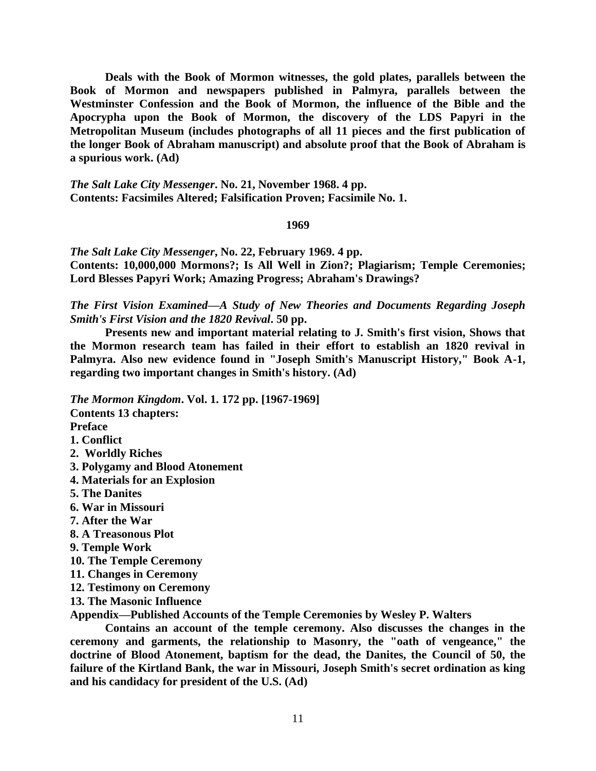**Deals with the Book of Mormon witnesses, the gold plates, parallels between the Book of Mormon and newspapers published in Palmyra, parallels between the Westminster Confession and the Book of Mormon, the influence of the Bible and the Apocrypha upon the Book of Mormon, the discovery of the LDS Papyri in the Metropolitan Museum (includes photographs of all 11 pieces and the first publication of the longer Book of Abraham manuscript) and absolute proof that the Book of Abraham is a spurious work. (Ad)**

*The Salt Lake City Messenger***. No. 21, November 1968. 4 pp. Contents: Facsimiles Altered; Falsification Proven; Facsimile No. 1.**

## **1969**

*The Salt Lake City Messenger***, No. 22, February 1969. 4 pp. Contents: 10,000,000 Mormons?; Is All Well in Zion?; Plagiarism; Temple Ceremonies; Lord Blesses Papyri Work; Amazing Progress; Abraham's Drawings?**

*The First Vision Examined—A Study of New Theories and Documents Regarding Joseph Smith's First Vision and the 1820 Revival***. 50 pp.** 

**Presents new and important material relating to J. Smith's first vision, Shows that the Mormon research team has failed in their effort to establish an 1820 revival in Palmyra. Also new evidence found in "Joseph Smith's Manuscript History," Book A-1, regarding two important changes in Smith's history. (Ad)**

*The Mormon Kingdom***. Vol. 1. 172 pp. [1967-1969] Contents 13 chapters: Preface 1. Conflict 2. Worldly Riches 3. Polygamy and Blood Atonement 4. Materials for an Explosion 5. The Danites 6. War in Missouri 7. After the War 8. A Treasonous Plot 9. Temple Work 10. The Temple Ceremony 11. Changes in Ceremony 12. Testimony on Ceremony 13. The Masonic Influence Appendix—Published Accounts of the Temple Ceremonies by Wesley P. Walters**

**Contains an account of the temple ceremony. Also discusses the changes in the ceremony and garments, the relationship to Masonry, the "oath of vengeance," the doctrine of Blood Atonement, baptism for the dead, the Danites, the Council of 50, the failure of the Kirtland Bank, the war in Missouri, Joseph Smith's secret ordination as king and his candidacy for president of the U.S. (Ad)**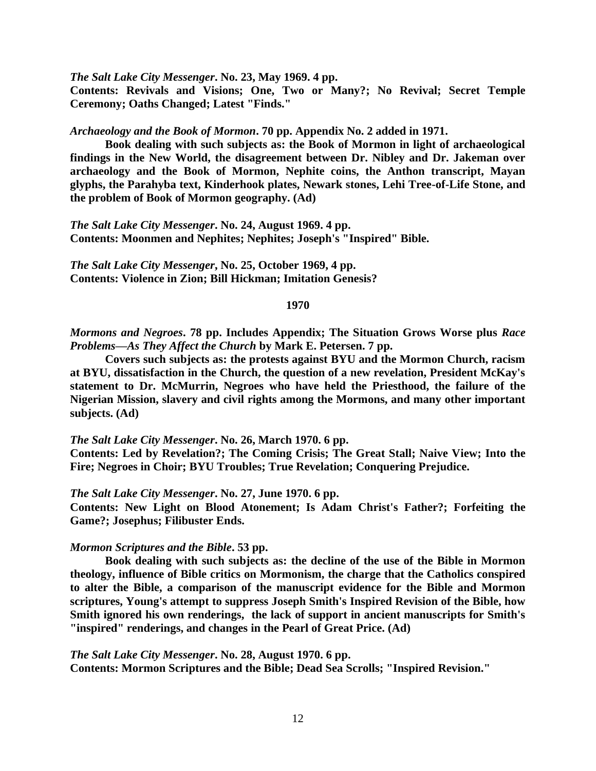*The Salt Lake City Messenger***. No. 23, May 1969. 4 pp.** 

**Contents: Revivals and Visions; One, Two or Many?; No Revival; Secret Temple Ceremony; Oaths Changed; Latest "Finds."**

*Archaeology and the Book of Mormon***. 70 pp. Appendix No. 2 added in 1971.** 

**Book dealing with such subjects as: the Book of Mormon in light of archaeological findings in the New World, the disagreement between Dr. Nibley and Dr. Jakeman over archaeology and the Book of Mormon, Nephite coins, the Anthon transcript, Mayan glyphs, the Parahyba text, Kinderhook plates, Newark stones, Lehi Tree-of-Life Stone, and the problem of Book of Mormon geography. (Ad)**

*The Salt Lake City Messenger***. No. 24, August 1969. 4 pp. Contents: Moonmen and Nephites; Nephites; Joseph's "Inspired" Bible.**

*The Salt Lake City Messenger***, No. 25, October 1969, 4 pp. Contents: Violence in Zion; Bill Hickman; Imitation Genesis?**

## **1970**

*Mormons and Negroes***. 78 pp. Includes Appendix; The Situation Grows Worse plus** *Race Problems—As They Affect the Church* **by Mark E. Petersen. 7 pp.**

**Covers such subjects as: the protests against BYU and the Mormon Church, racism at BYU, dissatisfaction in the Church, the question of a new revelation, President McKay's statement to Dr. McMurrin, Negroes who have held the Priesthood, the failure of the Nigerian Mission, slavery and civil rights among the Mormons, and many other important subjects. (Ad)**

### *The Salt Lake City Messenger***. No. 26, March 1970. 6 pp.**

**Contents: Led by Revelation?; The Coming Crisis; The Great Stall; Naive View; Into the Fire; Negroes in Choir; BYU Troubles; True Revelation; Conquering Prejudice.**

## *The Salt Lake City Messenger***. No. 27, June 1970. 6 pp.**

**Contents: New Light on Blood Atonement; Is Adam Christ's Father?; Forfeiting the Game?; Josephus; Filibuster Ends.**

#### *Mormon Scriptures and the Bible***. 53 pp.**

**Book dealing with such subjects as: the decline of the use of the Bible in Mormon theology, influence of Bible critics on Mormonism, the charge that the Catholics conspired to alter the Bible, a comparison of the manuscript evidence for the Bible and Mormon scriptures, Young's attempt to suppress Joseph Smith's Inspired Revision of the Bible, how Smith ignored his own renderings, the lack of support in ancient manuscripts for Smith's "inspired" renderings, and changes in the Pearl of Great Price. (Ad)**

### *The Salt Lake City Messenger***. No. 28, August 1970. 6 pp.**

**Contents: Mormon Scriptures and the Bible; Dead Sea Scrolls; "Inspired Revision."**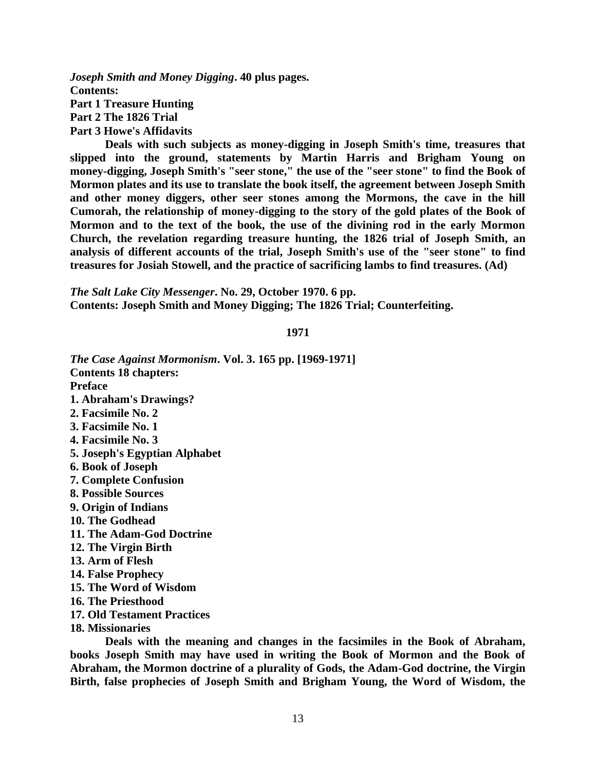*Joseph Smith and Money Digging***. 40 plus pages. Contents: Part 1 Treasure Hunting Part 2 The 1826 Trial Part 3 Howe's Affidavits**

**Deals with such subjects as money-digging in Joseph Smith's time, treasures that slipped into the ground, statements by Martin Harris and Brigham Young on money-digging, Joseph Smith's "seer stone," the use of the "seer stone" to find the Book of Mormon plates and its use to translate the book itself, the agreement between Joseph Smith and other money diggers, other seer stones among the Mormons, the cave in the hill Cumorah, the relationship of money-digging to the story of the gold plates of the Book of Mormon and to the text of the book, the use of the divining rod in the early Mormon Church, the revelation regarding treasure hunting, the 1826 trial of Joseph Smith, an analysis of different accounts of the trial, Joseph Smith's use of the "seer stone" to find treasures for Josiah Stowell, and the practice of sacrificing lambs to find treasures. (Ad)**

*The Salt Lake City Messenger***. No. 29, October 1970. 6 pp. Contents: Joseph Smith and Money Digging; The 1826 Trial; Counterfeiting.**

**1971**

*The Case Against Mormonism***. Vol. 3. 165 pp. [1969-1971] Contents 18 chapters: Preface 1. Abraham's Drawings? 2. Facsimile No. 2 3. Facsimile No. 1 4. Facsimile No. 3 5. Joseph's Egyptian Alphabet 6. Book of Joseph 7. Complete Confusion 8. Possible Sources 9. Origin of Indians 10. The Godhead 11. The Adam-God Doctrine 12. The Virgin Birth 13. Arm of Flesh 14. False Prophecy 15. The Word of Wisdom 16. The Priesthood 17. Old Testament Practices 18. Missionaries**

**Deals with the meaning and changes in the facsimiles in the Book of Abraham, books Joseph Smith may have used in writing the Book of Mormon and the Book of Abraham, the Mormon doctrine of a plurality of Gods, the Adam-God doctrine, the Virgin Birth, false prophecies of Joseph Smith and Brigham Young, the Word of Wisdom, the**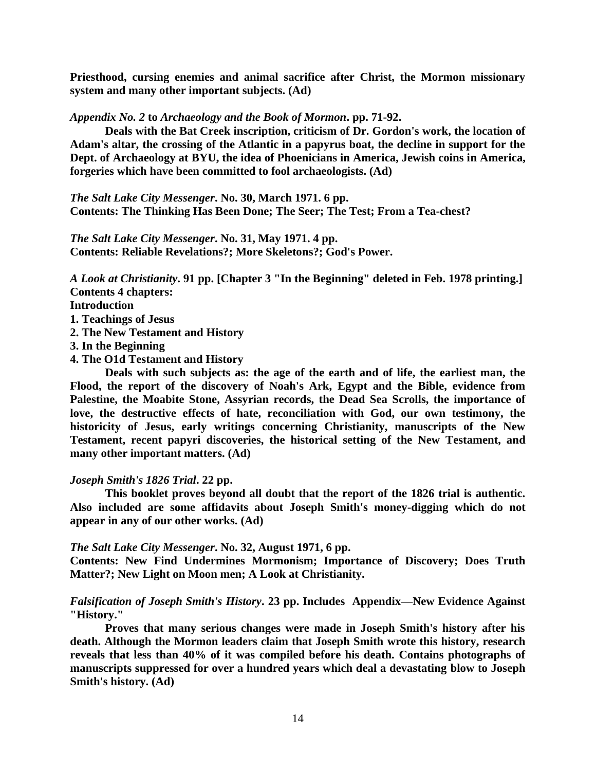**Priesthood, cursing enemies and animal sacrifice after Christ, the Mormon missionary system and many other important subjects. (Ad)**

*Appendix No. 2* **to** *Archaeology and the Book of Mormon***. pp. 71-92.** 

**Deals with the Bat Creek inscription, criticism of Dr. Gordon's work, the location of Adam's altar, the crossing of the Atlantic in a papyrus boat, the decline in support for the Dept. of Archaeology at BYU, the idea of Phoenicians in America, Jewish coins in America, forgeries which have been committed to fool archaeologists. (Ad)**

*The Salt Lake City Messenger***. No. 30, March 1971. 6 pp. Contents: The Thinking Has Been Done; The Seer; The Test; From a Tea-chest?**

*The Salt Lake City Messenger***. No. 31, May 1971. 4 pp. Contents: Reliable Revelations?; More Skeletons?; God's Power.**

*A Look at Christianity***. 91 pp. [Chapter 3 "In the Beginning" deleted in Feb. 1978 printing.] Contents 4 chapters:** 

**Introduction**

**1. Teachings of Jesus**

- **2. The New Testament and History**
- **3. In the Beginning**
- **4. The O1d Testament and History**

**Deals with such subjects as: the age of the earth and of life, the earliest man, the Flood, the report of the discovery of Noah's Ark, Egypt and the Bible, evidence from Palestine, the Moabite Stone, Assyrian records, the Dead Sea Scrolls, the importance of love, the destructive effects of hate, reconciliation with God, our own testimony, the historicity of Jesus, early writings concerning Christianity, manuscripts of the New Testament, recent papyri discoveries, the historical setting of the New Testament, and many other important matters. (Ad)** 

## *Joseph Smith's 1826 Trial***. 22 pp.**

**This booklet proves beyond all doubt that the report of the 1826 trial is authentic. Also included are some affidavits about Joseph Smith's money-digging which do not appear in any of our other works. (Ad)**

## *The Salt Lake City Messenger***. No. 32, August 1971, 6 pp.**

**Contents: New Find Undermines Mormonism; Importance of Discovery; Does Truth Matter?; New Light on Moon men; A Look at Christianity.**

*Falsification of Joseph Smith's History***. 23 pp. Includes Appendix—New Evidence Against "History."** 

**Proves that many serious changes were made in Joseph Smith's history after his death. Although the Mormon leaders claim that Joseph Smith wrote this history, research reveals that less than 40% of it was compiled before his death. Contains photographs of manuscripts suppressed for over a hundred years which deal a devastating blow to Joseph Smith's history. (Ad)**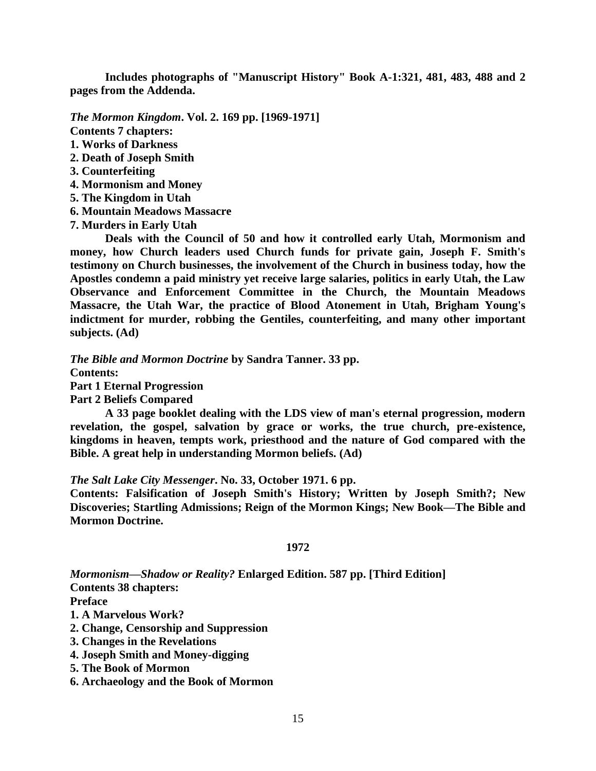**Includes photographs of "Manuscript History" Book A-1:321, 481, 483, 488 and 2 pages from the Addenda.**

*The Mormon Kingdom***. Vol. 2. 169 pp. [1969-1971] Contents 7 chapters:** 

- **1. Works of Darkness**
- **2. Death of Joseph Smith**
- **3. Counterfeiting**
- **4. Mormonism and Money**
- **5. The Kingdom in Utah**
- **6. Mountain Meadows Massacre**
- **7. Murders in Early Utah**

**Deals with the Council of 50 and how it controlled early Utah, Mormonism and money, how Church leaders used Church funds for private gain, Joseph F. Smith's testimony on Church businesses, the involvement of the Church in business today, how the Apostles condemn a paid ministry yet receive large salaries, politics in early Utah, the Law Observance and Enforcement Committee in the Church, the Mountain Meadows Massacre, the Utah War, the practice of Blood Atonement in Utah, Brigham Young's indictment for murder, robbing the Gentiles, counterfeiting, and many other important subjects. (Ad)**

*The Bible and Mormon Doctrine* **by Sandra Tanner. 33 pp.**

**Contents:** 

**Part 1 Eternal Progression**

**Part 2 Beliefs Compared**

**A 33 page booklet dealing with the LDS view of man's eternal progression, modern revelation, the gospel, salvation by grace or works, the true church, pre-existence, kingdoms in heaven, tempts work, priesthood and the nature of God compared with the Bible. A great help in understanding Mormon beliefs. (Ad)**

*The Salt Lake City Messenger***. No. 33, October 1971. 6 pp.** 

**Contents: Falsification of Joseph Smith's History; Written by Joseph Smith?; New Discoveries; Startling Admissions; Reign of the Mormon Kings; New Book—The Bible and Mormon Doctrine.**

## **1972**

*Mormonism—Shadow or Reality?* **Enlarged Edition. 587 pp. [Third Edition] Contents 38 chapters:**

**Preface**

**1. A Marvelous Work?**

**2. Change, Censorship and Suppression**

- **3. Changes in the Revelations**
- **4. Joseph Smith and Money-digging**
- **5. The Book of Mormon**
- **6. Archaeology and the Book of Mormon**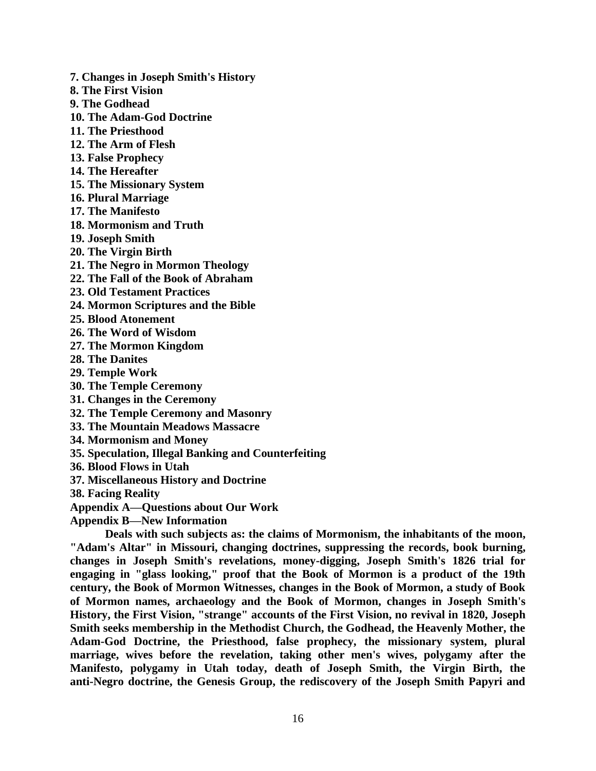- **7. Changes in Joseph Smith's History**
- **8. The First Vision**
- **9. The Godhead**
- **10. The Adam-God Doctrine**
- **11. The Priesthood**
- **12. The Arm of Flesh**
- **13. False Prophecy**
- **14. The Hereafter**
- **15. The Missionary System**
- **16. Plural Marriage**
- **17. The Manifesto**
- **18. Mormonism and Truth**
- **19. Joseph Smith**
- **20. The Virgin Birth**
- **21. The Negro in Mormon Theology**
- **22. The Fall of the Book of Abraham**
- **23. Old Testament Practices**
- **24. Mormon Scriptures and the Bible**
- **25. Blood Atonement**
- **26. The Word of Wisdom**
- **27. The Mormon Kingdom**
- **28. The Danites**
- **29. Temple Work**
- **30. The Temple Ceremony**
- **31. Changes in the Ceremony**
- **32. The Temple Ceremony and Masonry**
- **33. The Mountain Meadows Massacre**
- **34. Mormonism and Money**
- **35. Speculation, Illegal Banking and Counterfeiting**
- **36. Blood Flows in Utah**
- **37. Miscellaneous History and Doctrine**
- **38. Facing Reality**
- **Appendix A—Questions about Our Work**
- **Appendix B—New Information**

**Deals with such subjects as: the claims of Mormonism, the inhabitants of the moon, "Adam's Altar" in Missouri, changing doctrines, suppressing the records, book burning, changes in Joseph Smith's revelations, money-digging, Joseph Smith's 1826 trial for engaging in "glass looking," proof that the Book of Mormon is a product of the 19th century, the Book of Mormon Witnesses, changes in the Book of Mormon, a study of Book of Mormon names, archaeology and the Book of Mormon, changes in Joseph Smith's History, the First Vision, "strange" accounts of the First Vision, no revival in 1820, Joseph Smith seeks membership in the Methodist Church, the Godhead, the Heavenly Mother, the Adam-God Doctrine, the Priesthood, false prophecy, the missionary system, plural marriage, wives before the revelation, taking other men's wives, polygamy after the Manifesto, polygamy in Utah today, death of Joseph Smith, the Virgin Birth, the anti-Negro doctrine, the Genesis Group, the rediscovery of the Joseph Smith Papyri and**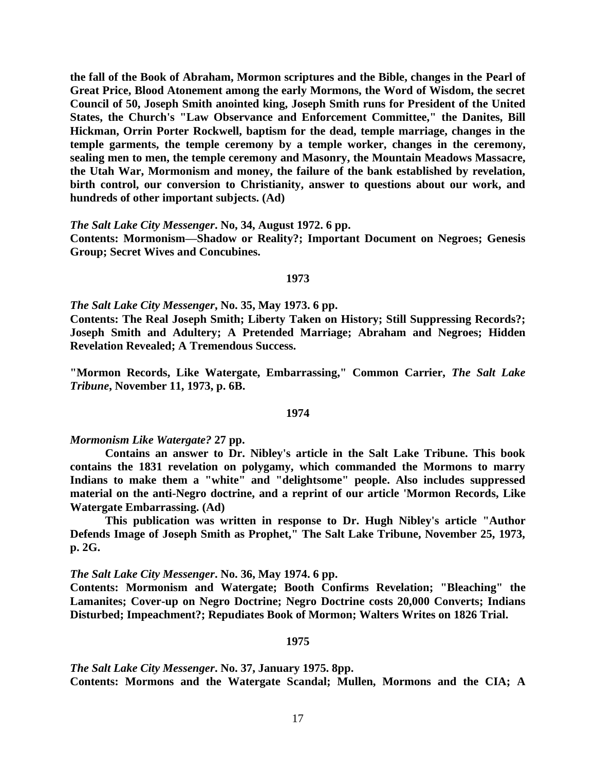**the fall of the Book of Abraham, Mormon scriptures and the Bible, changes in the Pearl of Great Price, Blood Atonement among the early Mormons, the Word of Wisdom, the secret Council of 50, Joseph Smith anointed king, Joseph Smith runs for President of the United States, the Church's "Law Observance and Enforcement Committee," the Danites, Bill Hickman, Orrin Porter Rockwell, baptism for the dead, temple marriage, changes in the temple garments, the temple ceremony by a temple worker, changes in the ceremony, sealing men to men, the temple ceremony and Masonry, the Mountain Meadows Massacre, the Utah War, Mormonism and money, the failure of the bank established by revelation, birth control, our conversion to Christianity, answer to questions about our work, and hundreds of other important subjects. (Ad)** 

*The Salt Lake City Messenger***. No, 34, August 1972. 6 pp.** 

**Contents: Mormonism—Shadow or Reality?; Important Document on Negroes; Genesis Group; Secret Wives and Concubines.**

#### **1973**

*The Salt Lake City Messenger***, No. 35, May 1973. 6 pp.** 

**Contents: The Real Joseph Smith; Liberty Taken on History; Still Suppressing Records?; Joseph Smith and Adultery; A Pretended Marriage; Abraham and Negroes; Hidden Revelation Revealed; A Tremendous Success.**

**"Mormon Records, Like Watergate, Embarrassing," Common Carrier,** *The Salt Lake Tribune***, November 11, 1973, p. 6B.**

## **1974**

### *Mormonism Like Watergate?* **27 pp.**

**Contains an answer to Dr. Nibley's article in the Salt Lake Tribune. This book contains the 1831 revelation on polygamy, which commanded the Mormons to marry Indians to make them a "white" and "delightsome" people. Also includes suppressed material on the anti-Negro doctrine, and a reprint of our article 'Mormon Records, Like Watergate Embarrassing. (Ad)** 

**This publication was written in response to Dr. Hugh Nibley's article "Author Defends Image of Joseph Smith as Prophet," The Salt Lake Tribune, November 25, 1973, p. 2G.**

*The Salt Lake City Messenger***. No. 36, May 1974. 6 pp.** 

**Contents: Mormonism and Watergate; Booth Confirms Revelation; "Bleaching" the Lamanites; Cover-up on Negro Doctrine; Negro Doctrine costs 20,000 Converts; Indians Disturbed; Impeachment?; Repudiates Book of Mormon; Walters Writes on 1826 Trial.**

## **1975**

*The Salt Lake City Messenger***. No. 37, January 1975. 8pp. Contents: Mormons and the Watergate Scandal; Mullen, Mormons and the CIA; A**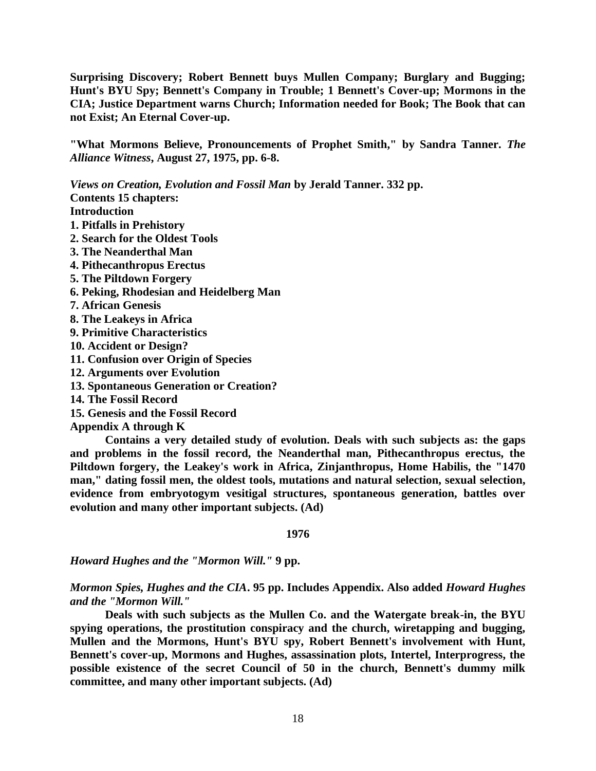**Surprising Discovery; Robert Bennett buys Mullen Company; Burglary and Bugging; Hunt's BYU Spy; Bennett's Company in Trouble; 1 Bennett's Cover-up; Mormons in the CIA; Justice Department warns Church; Information needed for Book; The Book that can not Exist; An Eternal Cover-up.**

**"What Mormons Believe, Pronouncements of Prophet Smith," by Sandra Tanner.** *The Alliance Witness***, August 27, 1975, pp. 6-8.**

*Views on Creation, Evolution and Fossil Man* **by Jerald Tanner. 332 pp. Contents 15 chapters: Introduction 1. Pitfalls in Prehistory 2. Search for the Oldest Tools 3. The Neanderthal Man 4. Pithecanthropus Erectus 5. The Piltdown Forgery 6. Peking, Rhodesian and Heidelberg Man 7. African Genesis 8. The Leakeys in Africa 9. Primitive Characteristics 10. Accident or Design? 11. Confusion over Origin of Species 12. Arguments over Evolution 13. Spontaneous Generation or Creation? 14. The Fossil Record 15. Genesis and the Fossil Record**

**Appendix A through K**

**Contains a very detailed study of evolution. Deals with such subjects as: the gaps and problems in the fossil record, the Neanderthal man, Pithecanthropus erectus, the Piltdown forgery, the Leakey's work in Africa, Zinjanthropus, Home Habilis, the "1470 man," dating fossil men, the oldest tools, mutations and natural selection, sexual selection, evidence from embryotogym vesitigal structures, spontaneous generation, battles over evolution and many other important subjects. (Ad)**

**1976**

*Howard Hughes and the "Mormon Will."* **9 pp.**

*Mormon Spies, Hughes and the CIA***. 95 pp. Includes Appendix. Also added** *Howard Hughes and the "Mormon Will."*

**Deals with such subjects as the Mullen Co. and the Watergate break-in, the BYU spying operations, the prostitution conspiracy and the church, wiretapping and bugging, Mullen and the Mormons, Hunt's BYU spy, Robert Bennett's involvement with Hunt, Bennett's cover-up, Mormons and Hughes, assassination plots, Intertel, Interprogress, the possible existence of the secret Council of 50 in the church, Bennett's dummy milk committee, and many other important subjects. (Ad)**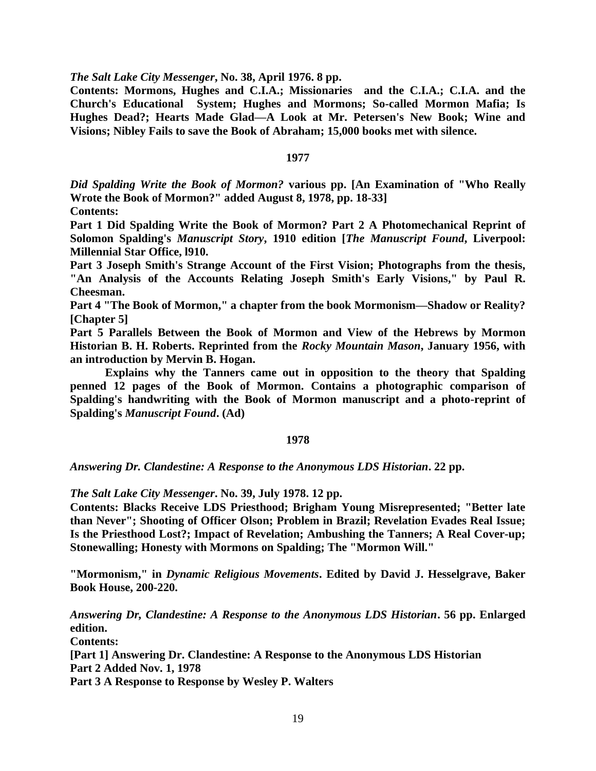*The Salt Lake City Messenger***, No. 38, April 1976. 8 pp.** 

**Contents: Mormons, Hughes and C.I.A.; Missionaries and the C.I.A.; C.I.A. and the Church's Educational System; Hughes and Mormons; So-called Mormon Mafia; Is Hughes Dead?; Hearts Made Glad—A Look at Mr. Petersen's New Book; Wine and Visions; Nibley Fails to save the Book of Abraham; 15,000 books met with silence.**

### **1977**

*Did Spalding Write the Book of Mormon?* **various pp. [An Examination of "Who Really Wrote the Book of Mormon?" added August 8, 1978, pp. 18-33] Contents:** 

**Part 1 Did Spalding Write the Book of Mormon? Part 2 A Photomechanical Reprint of Solomon Spalding's** *Manuscript Story***, 1910 edition [***The Manuscript Found***, Liverpool: Millennial Star Office, l910.**

**Part 3 Joseph Smith's Strange Account of the First Vision; Photographs from the thesis, "An Analysis of the Accounts Relating Joseph Smith's Early Visions," by Paul R. Cheesman.** 

**Part 4 "The Book of Mormon," a chapter from the book Mormonism—Shadow or Reality? [Chapter 5]**

**Part 5 Parallels Between the Book of Mormon and View of the Hebrews by Mormon Historian B. H. Roberts. Reprinted from the** *Rocky Mountain Mason***, January 1956, with an introduction by Mervin B. Hogan.** 

**Explains why the Tanners came out in opposition to the theory that Spalding penned 12 pages of the Book of Mormon. Contains a photographic comparison of Spalding's handwriting with the Book of Mormon manuscript and a photo-reprint of Spalding's** *Manuscript Found***. (Ad)**

### **1978**

*Answering Dr. Clandestine: A Response to the Anonymous LDS Historian***. 22 pp.**

*The Salt Lake City Messenger***. No. 39, July 1978. 12 pp.** 

**Contents: Blacks Receive LDS Priesthood; Brigham Young Misrepresented; "Better late than Never"; Shooting of Officer Olson; Problem in Brazil; Revelation Evades Real Issue; Is the Priesthood Lost?; Impact of Revelation; Ambushing the Tanners; A Real Cover-up; Stonewalling; Honesty with Mormons on Spalding; The "Mormon Will."**

**"Mormonism," in** *Dynamic Religious Movements***. Edited by David J. Hesselgrave, Baker Book House, 200-220.**

*Answering Dr, Clandestine: A Response to the Anonymous LDS Historian***. 56 pp. Enlarged edition.**

**Contents:** 

**[Part 1] Answering Dr. Clandestine: A Response to the Anonymous LDS Historian Part 2 Added Nov. 1, 1978**

**Part 3 A Response to Response by Wesley P. Walters**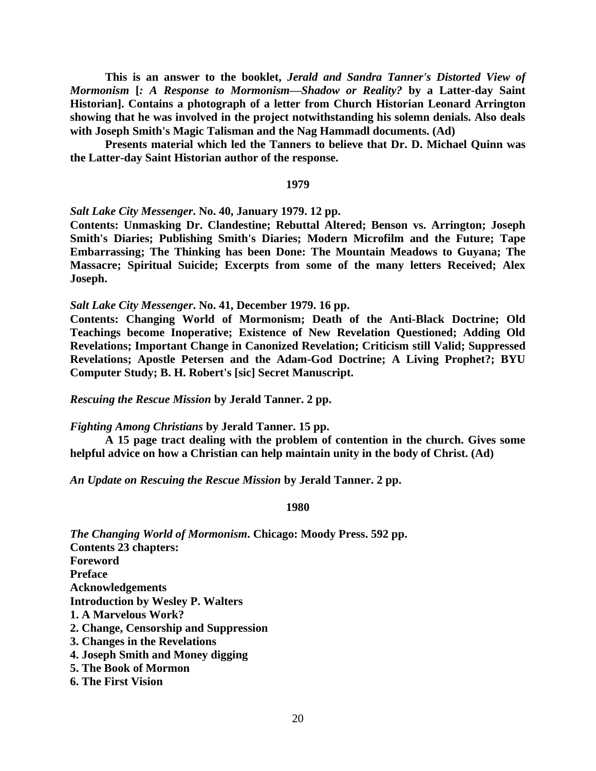**This is an answer to the booklet,** *Jerald and Sandra Tanner's Distorted View of Mormonism* **[***: A Response to Mormonism—Shadow or Reality?* **by a Latter-day Saint Historian]. Contains a photograph of a letter from Church Historian Leonard Arrington showing that he was involved in the project notwithstanding his solemn denials. Also deals with Joseph Smith's Magic Talisman and the Nag Hammadl documents. (Ad)** 

**Presents material which led the Tanners to believe that Dr. D. Michael Quinn was the Latter-day Saint Historian author of the response.**

#### **1979**

## *Salt Lake City Messenger***. No. 40, January 1979. 12 pp.**

**Contents: Unmasking Dr. Clandestine; Rebuttal Altered; Benson vs. Arrington; Joseph Smith's Diaries; Publishing Smith's Diaries; Modern Microfilm and the Future; Tape Embarrassing; The Thinking has been Done: The Mountain Meadows to Guyana; The Massacre; Spiritual Suicide; Excerpts from some of the many letters Received; Alex Joseph.**

*Salt Lake City Messenger***. No. 41, December 1979. 16 pp.** 

**Contents: Changing World of Mormonism; Death of the Anti-Black Doctrine; Old Teachings become Inoperative; Existence of New Revelation Questioned; Adding Old Revelations; Important Change in Canonized Revelation; Criticism still Valid; Suppressed Revelations; Apostle Petersen and the Adam-God Doctrine; A Living Prophet?; BYU Computer Study; B. H. Robert's [sic] Secret Manuscript.**

*Rescuing the Rescue Mission* **by Jerald Tanner. 2 pp.**

### *Fighting Among Christians* **by Jerald Tanner. 15 pp.**

**A 15 page tract dealing with the problem of contention in the church. Gives some helpful advice on how a Christian can help maintain unity in the body of Christ. (Ad)**

*An Update on Rescuing the Rescue Mission* **by Jerald Tanner. 2 pp.**

### **1980**

*The Changing World of Mormonism***. Chicago: Moody Press. 592 pp. Contents 23 chapters: Foreword Preface Acknowledgements Introduction by Wesley P. Walters 1. A Marvelous Work? 2. Change, Censorship and Suppression 3. Changes in the Revelations 4. Joseph Smith and Money digging 5. The Book of Mormon 6. The First Vision**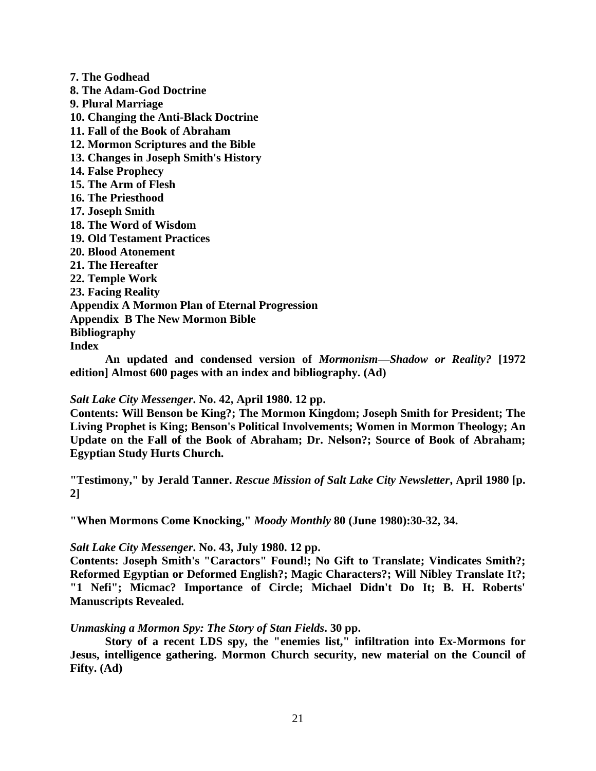**7. The Godhead 8. The Adam-God Doctrine 9. Plural Marriage 10. Changing the Anti-Black Doctrine 11. Fall of the Book of Abraham 12. Mormon Scriptures and the Bible 13. Changes in Joseph Smith's History 14. False Prophecy 15. The Arm of Flesh 16. The Priesthood 17. Joseph Smith 18. The Word of Wisdom 19. Old Testament Practices 20. Blood Atonement 21. The Hereafter 22. Temple Work 23. Facing Reality Appendix A Mormon Plan of Eternal Progression Appendix B The New Mormon Bible Bibliography Index**

**An updated and condensed version of** *Mormonism—Shadow or Reality?* **[1972 edition] Almost 600 pages with an index and bibliography. (Ad)** 

*Salt Lake City Messenger***. No. 42, April 1980. 12 pp.** 

**Contents: Will Benson be King?; The Mormon Kingdom; Joseph Smith for President; The Living Prophet is King; Benson's Political Involvements; Women in Mormon Theology; An Update on the Fall of the Book of Abraham; Dr. Nelson?; Source of Book of Abraham; Egyptian Study Hurts Church.**

**"Testimony," by Jerald Tanner.** *Rescue Mission of Salt Lake City Newsletter***, April 1980 [p. 2]**

**"When Mormons Come Knocking,"** *Moody Monthly* **80 (June 1980):30-32, 34.**

*Salt Lake City Messenger***. No. 43, July 1980. 12 pp.** 

**Contents: Joseph Smith's "Caractors" Found!; No Gift to Translate; Vindicates Smith?; Reformed Egyptian or Deformed English?; Magic Characters?; Will Nibley Translate It?; "1 Nefi"; Micmac? Importance of Circle; Michael Didn't Do It; B. H. Roberts' Manuscripts Revealed.**

*Unmasking a Mormon Spy: The Story of Stan Fields***. 30 pp.** 

**Story of a recent LDS spy, the "enemies list," infiltration into Ex-Mormons for Jesus, intelligence gathering. Mormon Church security, new material on the Council of Fifty. (Ad)**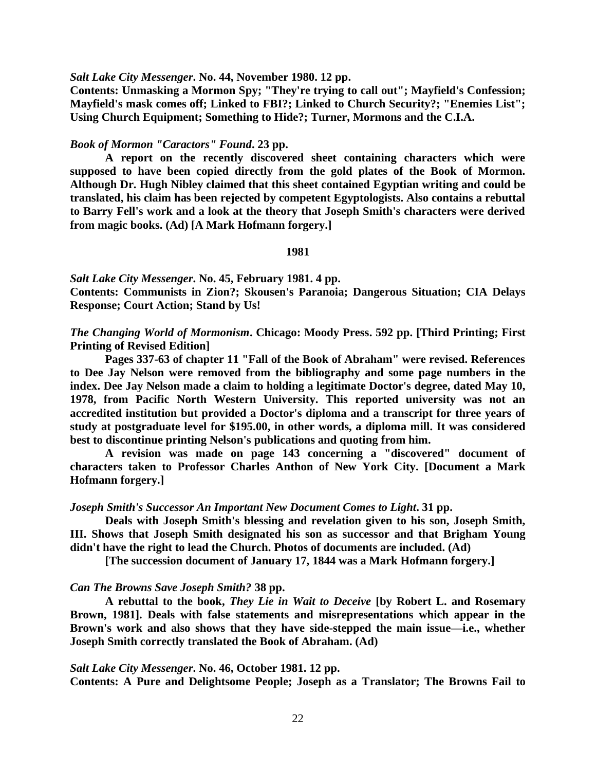*Salt Lake City Messenger***. No. 44, November 1980. 12 pp.** 

**Contents: Unmasking a Mormon Spy; "They're trying to call out"; Mayfield's Confession; Mayfield's mask comes off; Linked to FBI?; Linked to Church Security?; "Enemies List"; Using Church Equipment; Something to Hide?; Turner, Mormons and the C.I.A.**

### *Book of Mormon "Caractors" Found***. 23 pp.**

**A report on the recently discovered sheet containing characters which were supposed to have been copied directly from the gold plates of the Book of Mormon. Although Dr. Hugh Nibley claimed that this sheet contained Egyptian writing and could be translated, his claim has been rejected by competent Egyptologists. Also contains a rebuttal to Barry Fell's work and a look at the theory that Joseph Smith's characters were derived from magic books. (Ad) [A Mark Hofmann forgery.]**

### **1981**

*Salt Lake City Messenger***. No. 45, February 1981. 4 pp. Contents: Communists in Zion?; Skousen's Paranoia; Dangerous Situation; CIA Delays Response; Court Action; Stand by Us!**

*The Changing World of Mormonism***. Chicago: Moody Press. 592 pp. [Third Printing; First Printing of Revised Edition]**

**Pages 337-63 of chapter 11 "Fall of the Book of Abraham" were revised. References to Dee Jay Nelson were removed from the bibliography and some page numbers in the index. Dee Jay Nelson made a claim to holding a legitimate Doctor's degree, dated May 10, 1978, from Pacific North Western University. This reported university was not an accredited institution but provided a Doctor's diploma and a transcript for three years of study at postgraduate level for \$195.00, in other words, a diploma mill. It was considered best to discontinue printing Nelson's publications and quoting from him.**

**A revision was made on page 143 concerning a "discovered" document of characters taken to Professor Charles Anthon of New York City. [Document a Mark Hofmann forgery.]**

#### *Joseph Smith's Successor An Important New Document Comes to Light***. 31 pp.**

**Deals with Joseph Smith's blessing and revelation given to his son, Joseph Smith, III. Shows that Joseph Smith designated his son as successor and that Brigham Young didn't have the right to lead the Church. Photos of documents are included. (Ad)**

**[The succession document of January 17, 1844 was a Mark Hofmann forgery.]**

#### *Can The Browns Save Joseph Smith?* **38 pp.**

**A rebuttal to the book,** *They Lie in Wait to Deceive* **[by Robert L. and Rosemary Brown, 1981]. Deals with false statements and misrepresentations which appear in the Brown's work and also shows that they have side-stepped the main issue—i.e., whether Joseph Smith correctly translated the Book of Abraham. (Ad)**

## *Salt Lake City Messenger***. No. 46, October 1981. 12 pp.**

**Contents: A Pure and Delightsome People; Joseph as a Translator; The Browns Fail to**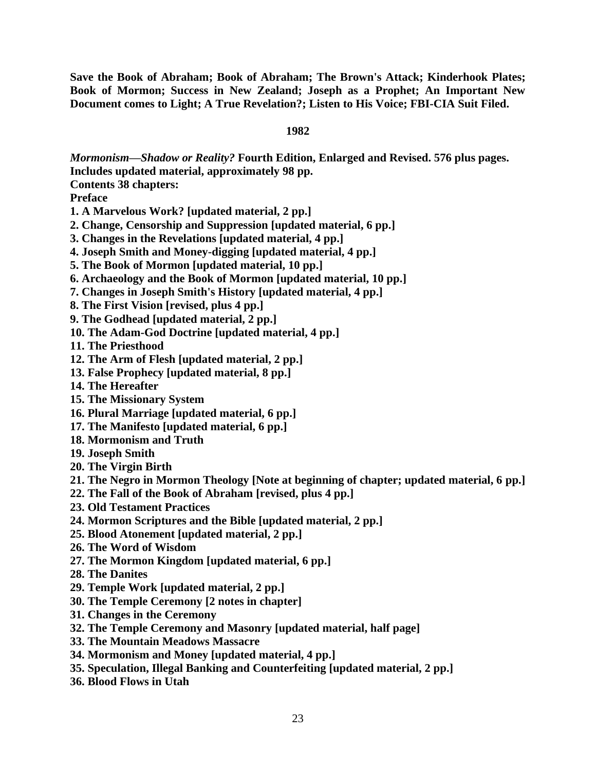**Save the Book of Abraham; Book of Abraham; The Brown's Attack; Kinderhook Plates; Book of Mormon; Success in New Zealand; Joseph as a Prophet; An Important New Document comes to Light; A True Revelation?; Listen to His Voice; FBI-CIA Suit Filed.**

# **1982**

*Mormonism—Shadow or Reality?* **Fourth Edition, Enlarged and Revised. 576 plus pages. Includes updated material, approximately 98 pp.** 

**Contents 38 chapters:** 

**Preface**

- **1. A Marvelous Work? [updated material, 2 pp.]**
- **2. Change, Censorship and Suppression [updated material, 6 pp.]**
- **3. Changes in the Revelations [updated material, 4 pp.]**
- **4. Joseph Smith and Money-digging [updated material, 4 pp.]**
- **5. The Book of Mormon [updated material, 10 pp.]**
- **6. Archaeology and the Book of Mormon [updated material, 10 pp.]**
- **7. Changes in Joseph Smith's History [updated material, 4 pp.]**
- **8. The First Vision [revised, plus 4 pp.]**
- **9. The Godhead [updated material, 2 pp.]**
- **10. The Adam-God Doctrine [updated material, 4 pp.]**
- **11. The Priesthood**
- **12. The Arm of Flesh [updated material, 2 pp.]**
- **13. False Prophecy [updated material, 8 pp.]**
- **14. The Hereafter**
- **15. The Missionary System**
- **16. Plural Marriage [updated material, 6 pp.]**
- **17. The Manifesto [updated material, 6 pp.]**
- **18. Mormonism and Truth**
- **19. Joseph Smith**
- **20. The Virgin Birth**
- **21. The Negro in Mormon Theology [Note at beginning of chapter; updated material, 6 pp.]**
- **22. The Fall of the Book of Abraham [revised, plus 4 pp.]**
- **23. Old Testament Practices**
- **24. Mormon Scriptures and the Bible [updated material, 2 pp.]**
- **25. Blood Atonement [updated material, 2 pp.]**
- **26. The Word of Wisdom**
- **27. The Mormon Kingdom [updated material, 6 pp.]**
- **28. The Danites**
- **29. Temple Work [updated material, 2 pp.]**
- **30. The Temple Ceremony [2 notes in chapter]**
- **31. Changes in the Ceremony**
- **32. The Temple Ceremony and Masonry [updated material, half page]**
- **33. The Mountain Meadows Massacre**
- **34. Mormonism and Money [updated material, 4 pp.]**
- **35. Speculation, Illegal Banking and Counterfeiting [updated material, 2 pp.]**
- **36. Blood Flows in Utah**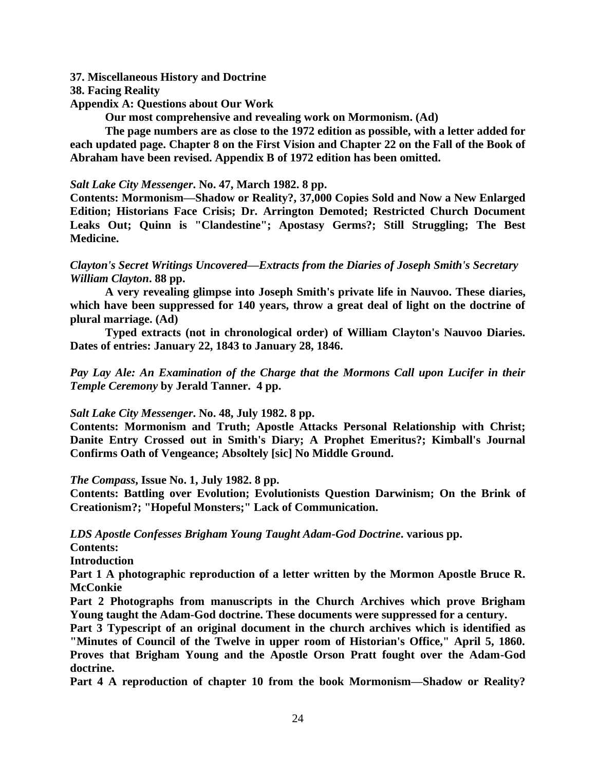# **37. Miscellaneous History and Doctrine**

- **38. Facing Reality**
- **Appendix A: Questions about Our Work**

**Our most comprehensive and revealing work on Mormonism. (Ad)** 

**The page numbers are as close to the 1972 edition as possible, with a letter added for each updated page. Chapter 8 on the First Vision and Chapter 22 on the Fall of the Book of Abraham have been revised. Appendix B of 1972 edition has been omitted.**

# *Salt Lake City Messenger***. No. 47, March 1982. 8 pp.**

**Contents: Mormonism—Shadow or Reality?, 37,000 Copies Sold and Now a New Enlarged Edition; Historians Face Crisis; Dr. Arrington Demoted; Restricted Church Document Leaks Out; Quinn is "Clandestine"; Apostasy Germs?; Still Struggling; The Best Medicine.**

# *Clayton's Secret Writings Uncovered—Extracts from the Diaries of Joseph Smith's Secretary William Clayton***. 88 pp.**

**A very revealing glimpse into Joseph Smith's private life in Nauvoo. These diaries, which have been suppressed for 140 years, throw a great deal of light on the doctrine of plural marriage. (Ad)** 

**Typed extracts (not in chronological order) of William Clayton's Nauvoo Diaries. Dates of entries: January 22, 1843 to January 28, 1846.**

*Pay Lay Ale: An Examination of the Charge that the Mormons Call upon Lucifer in their Temple Ceremony* **by Jerald Tanner. 4 pp.**

# *Salt Lake City Messenger***. No. 48, July 1982. 8 pp.**

**Contents: Mormonism and Truth; Apostle Attacks Personal Relationship with Christ; Danite Entry Crossed out in Smith's Diary; A Prophet Emeritus?; Kimball's Journal Confirms Oath of Vengeance; Absoltely [sic] No Middle Ground.**

*The Compass***, Issue No. 1, July 1982. 8 pp.**

**Contents: Battling over Evolution; Evolutionists Question Darwinism; On the Brink of Creationism?; "Hopeful Monsters;" Lack of Communication.**

*LDS Apostle Confesses Brigham Young Taught Adam-God Doctrine***. various pp.** 

**Contents:** 

**Introduction**

Part 1 A photographic reproduction of a letter written by the Mormon Apostle Bruce R. **McConkie**

**Part 2 Photographs from manuscripts in the Church Archives which prove Brigham Young taught the Adam-God doctrine. These documents were suppressed for a century.** 

**Part 3 Typescript of an original document in the church archives which is identified as "Minutes of Council of the Twelve in upper room of Historian's Office," April 5, 1860. Proves that Brigham Young and the Apostle Orson Pratt fought over the Adam-God doctrine.** 

**Part 4 A reproduction of chapter 10 from the book Mormonism—Shadow or Reality?**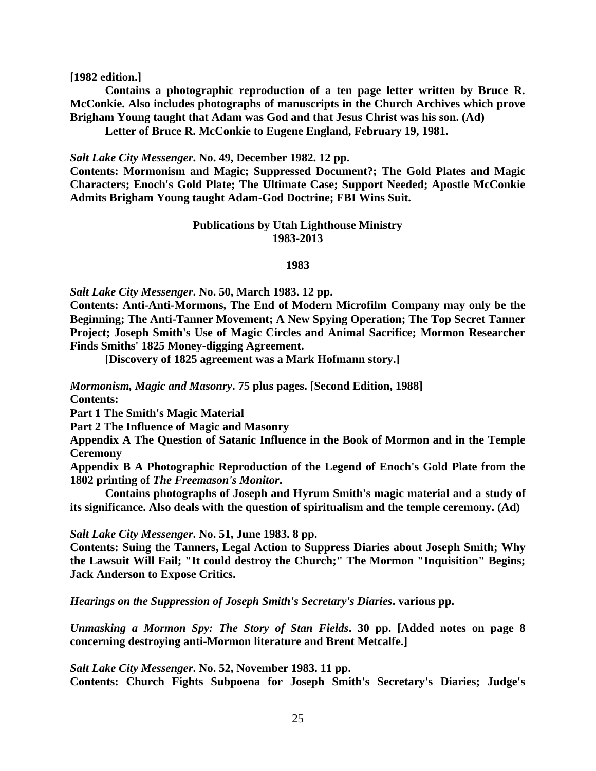**[1982 edition.]** 

**Contains a photographic reproduction of a ten page letter written by Bruce R. McConkie. Also includes photographs of manuscripts in the Church Archives which prove Brigham Young taught that Adam was God and that Jesus Christ was his son. (Ad)** 

**Letter of Bruce R. McConkie to Eugene England, February 19, 1981.**

*Salt Lake City Messenger***. No. 49, December 1982. 12 pp.** 

**Contents: Mormonism and Magic; Suppressed Document?; The Gold Plates and Magic Characters; Enoch's Gold Plate; The Ultimate Case; Support Needed; Apostle McConkie Admits Brigham Young taught Adam-God Doctrine; FBI Wins Suit.**

## **Publications by Utah Lighthouse Ministry 1983-2013**

#### **1983**

*Salt Lake City Messenger***. No. 50, March 1983. 12 pp.** 

**Contents: Anti-Anti-Mormons, The End of Modern Microfilm Company may only be the Beginning; The Anti-Tanner Movement; A New Spying Operation; The Top Secret Tanner Project; Joseph Smith's Use of Magic Circles and Animal Sacrifice; Mormon Researcher Finds Smiths' 1825 Money-digging Agreement.**

**[Discovery of 1825 agreement was a Mark Hofmann story.]**

*Mormonism, Magic and Masonry***. 75 plus pages. [Second Edition, 1988]**

**Contents:** 

**Part 1 The Smith's Magic Material**

**Part 2 The Influence of Magic and Masonry**

**Appendix A The Question of Satanic Influence in the Book of Mormon and in the Temple Ceremony**

**Appendix B A Photographic Reproduction of the Legend of Enoch's Gold Plate from the 1802 printing of** *The Freemason's Monitor***.** 

**Contains photographs of Joseph and Hyrum Smith's magic material and a study of its significance. Also deals with the question of spiritualism and the temple ceremony. (Ad)**

*Salt Lake City Messenger***. No. 51, June 1983. 8 pp.** 

**Contents: Suing the Tanners, Legal Action to Suppress Diaries about Joseph Smith; Why the Lawsuit Will Fail; "It could destroy the Church;" The Mormon "Inquisition" Begins; Jack Anderson to Expose Critics.**

*Hearings on the Suppression of Joseph Smith's Secretary's Diaries***. various pp.**

*Unmasking a Mormon Spy: The Story of Stan Fields***. 30 pp. [Added notes on page 8 concerning destroying anti-Mormon literature and Brent Metcalfe.]**

*Salt Lake City Messenger***. No. 52, November 1983. 11 pp.** 

**Contents: Church Fights Subpoena for Joseph Smith's Secretary's Diaries; Judge's**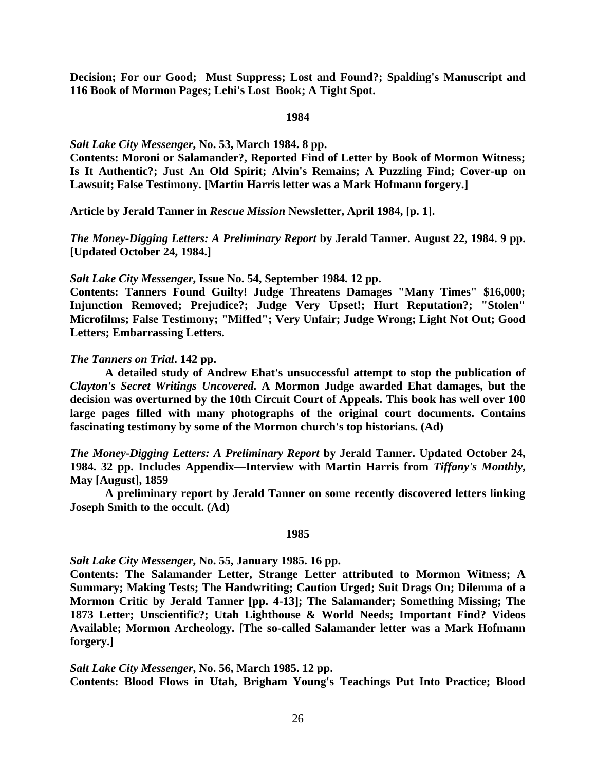**Decision; For our Good; Must Suppress; Lost and Found?; Spalding's Manuscript and 116 Book of Mormon Pages; Lehi's Lost Book; A Tight Spot.**

### **1984**

## *Salt Lake City Messenger***, No. 53, March 1984. 8 pp.**

**Contents: Moroni or Salamander?, Reported Find of Letter by Book of Mormon Witness; Is It Authentic?; Just An Old Spirit; Alvin's Remains; A Puzzling Find; Cover-up on Lawsuit; False Testimony. [Martin Harris letter was a Mark Hofmann forgery.]**

**Article by Jerald Tanner in** *Rescue Mission* **Newsletter, April 1984, [p. 1].**

*The Money-Digging Letters: A Preliminary Report* **by Jerald Tanner. August 22, 1984. 9 pp. [Updated October 24, 1984.]**

*Salt Lake City Messenger***, Issue No. 54, September 1984. 12 pp.** 

**Contents: Tanners Found Guilty! Judge Threatens Damages "Many Times" \$16,000; Injunction Removed; Prejudice?; Judge Very Upset!; Hurt Reputation?; "Stolen" Microfilms; False Testimony; "Miffed"; Very Unfair; Judge Wrong; Light Not Out; Good Letters; Embarrassing Letters.**

## *The Tanners on Trial***. 142 pp.**

**A detailed study of Andrew Ehat's unsuccessful attempt to stop the publication of**  *Clayton's Secret Writings Uncovered***. A Mormon Judge awarded Ehat damages, but the decision was overturned by the 10th Circuit Court of Appeals. This book has well over 100 large pages filled with many photographs of the original court documents. Contains fascinating testimony by some of the Mormon church's top historians. (Ad)**

*The Money-Digging Letters: A Preliminary Report* **by Jerald Tanner. Updated October 24, 1984. 32 pp. Includes Appendix—Interview with Martin Harris from** *Tiffany's Monthly***, May [August], 1859**

**A preliminary report by Jerald Tanner on some recently discovered letters linking Joseph Smith to the occult. (Ad)**

### **1985**

*Salt Lake City Messenger***, No. 55, January 1985. 16 pp.** 

**Contents: The Salamander Letter, Strange Letter attributed to Mormon Witness; A Summary; Making Tests; The Handwriting; Caution Urged; Suit Drags On; Dilemma of a Mormon Critic by Jerald Tanner [pp. 4-13]; The Salamander; Something Missing; The 1873 Letter; Unscientific?; Utah Lighthouse & World Needs; Important Find? Videos Available; Mormon Archeology. [The so-called Salamander letter was a Mark Hofmann forgery.]**

*Salt Lake City Messenger***, No. 56, March 1985. 12 pp. Contents: Blood Flows in Utah, Brigham Young's Teachings Put Into Practice; Blood**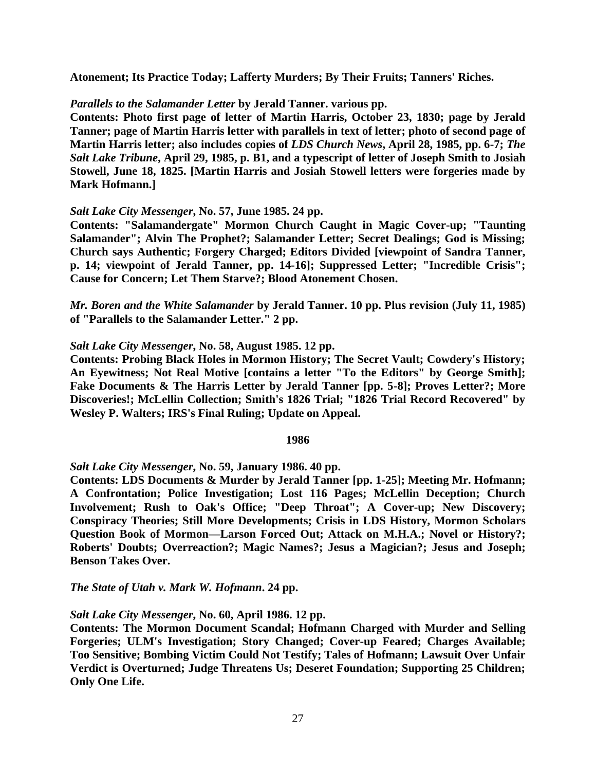**Atonement; Its Practice Today; Lafferty Murders; By Their Fruits; Tanners' Riches.**

# *Parallels to the Salamander Letter* **by Jerald Tanner. various pp.**

**Contents: Photo first page of letter of Martin Harris, October 23, 1830; page by Jerald Tanner; page of Martin Harris letter with parallels in text of letter; photo of second page of Martin Harris letter; also includes copies of** *LDS Church News***, April 28, 1985, pp. 6-7;** *The Salt Lake Tribune***, April 29, 1985, p. B1, and a typescript of letter of Joseph Smith to Josiah Stowell, June 18, 1825. [Martin Harris and Josiah Stowell letters were forgeries made by Mark Hofmann.]**

# *Salt Lake City Messenger***, No. 57, June 1985. 24 pp.**

**Contents: "Salamandergate" Mormon Church Caught in Magic Cover-up; "Taunting Salamander"; Alvin The Prophet?; Salamander Letter; Secret Dealings; God is Missing; Church says Authentic; Forgery Charged; Editors Divided [viewpoint of Sandra Tanner, p. 14; viewpoint of Jerald Tanner, pp. 14-16]; Suppressed Letter; "Incredible Crisis"; Cause for Concern; Let Them Starve?; Blood Atonement Chosen.**

*Mr. Boren and the White Salamander* **by Jerald Tanner. 10 pp. Plus revision (July 11, 1985) of "Parallels to the Salamander Letter." 2 pp.**

# *Salt Lake City Messenger***, No. 58, August 1985. 12 pp.**

**Contents: Probing Black Holes in Mormon History; The Secret Vault; Cowdery's History; An Eyewitness; Not Real Motive [contains a letter "To the Editors" by George Smith]; Fake Documents & The Harris Letter by Jerald Tanner [pp. 5-8]; Proves Letter?; More Discoveries!; McLellin Collection; Smith's 1826 Trial; "1826 Trial Record Recovered" by Wesley P. Walters; IRS's Final Ruling; Update on Appeal.**

## **1986**

# *Salt Lake City Messenger***, No. 59, January 1986. 40 pp.**

**Contents: LDS Documents & Murder by Jerald Tanner [pp. 1-25]; Meeting Mr. Hofmann; A Confrontation; Police Investigation; Lost 116 Pages; McLellin Deception; Church Involvement; Rush to Oak's Office; "Deep Throat"; A Cover-up; New Discovery; Conspiracy Theories; Still More Developments; Crisis in LDS History, Mormon Scholars Question Book of Mormon—Larson Forced Out; Attack on M.H.A.; Novel or History?; Roberts' Doubts; Overreaction?; Magic Names?; Jesus a Magician?; Jesus and Joseph; Benson Takes Over.**

*The State of Utah v. Mark W. Hofmann***. 24 pp.**

# *Salt Lake City Messenger***, No. 60, April 1986. 12 pp.**

**Contents: The Mormon Document Scandal; Hofmann Charged with Murder and Selling Forgeries; ULM's Investigation; Story Changed; Cover-up Feared; Charges Available; Too Sensitive; Bombing Victim Could Not Testify; Tales of Hofmann; Lawsuit Over Unfair Verdict is Overturned; Judge Threatens Us; Deseret Foundation; Supporting 25 Children; Only One Life.**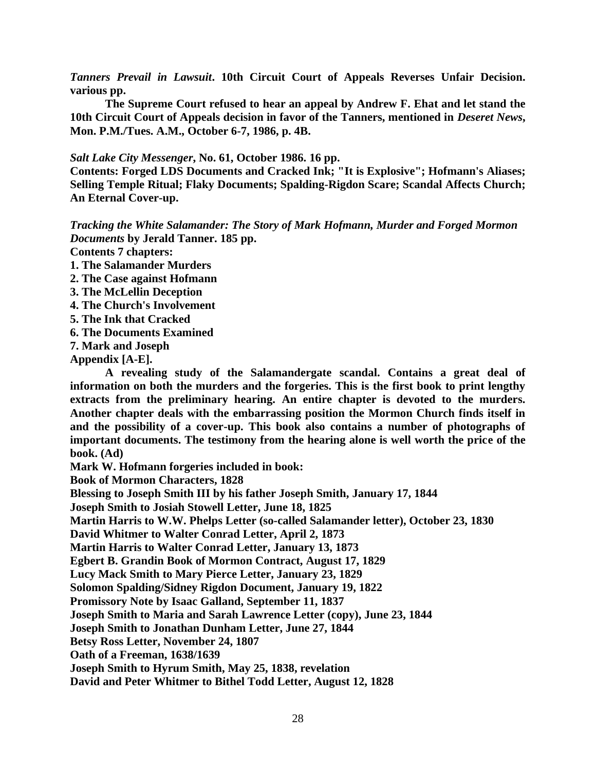*Tanners Prevail in Lawsuit***. 10th Circuit Court of Appeals Reverses Unfair Decision. various pp.** 

**The Supreme Court refused to hear an appeal by Andrew F. Ehat and let stand the 10th Circuit Court of Appeals decision in favor of the Tanners, mentioned in** *Deseret News***, Mon. P.M./Tues. A.M., October 6-7, 1986, p. 4B.**

## *Salt Lake City Messenger***, No. 61, October 1986. 16 pp.**

**Contents: Forged LDS Documents and Cracked Ink; "It is Explosive"; Hofmann's Aliases; Selling Temple Ritual; Flaky Documents; Spalding-Rigdon Scare; Scandal Affects Church; An Eternal Cover-up.**

*Tracking the White Salamander: The Story of Mark Hofmann, Murder and Forged Mormon Documents* **by Jerald Tanner. 185 pp.**

**Contents 7 chapters:** 

- **1. The Salamander Murders**
- **2. The Case against Hofmann**
- **3. The McLellin Deception**
- **4. The Church's Involvement**
- **5. The Ink that Cracked**
- **6. The Documents Examined**
- **7. Mark and Joseph**

**Appendix [A-E].** 

**A revealing study of the Salamandergate scandal. Contains a great deal of information on both the murders and the forgeries. This is the first book to print lengthy extracts from the preliminary hearing. An entire chapter is devoted to the murders. Another chapter deals with the embarrassing position the Mormon Church finds itself in and the possibility of a cover-up. This book also contains a number of photographs of important documents. The testimony from the hearing alone is well worth the price of the book. (Ad)**

**Mark W. Hofmann forgeries included in book:**

**Book of Mormon Characters, 1828** 

**Blessing to Joseph Smith III by his father Joseph Smith, January 17, 1844**

**Joseph Smith to Josiah Stowell Letter, June 18, 1825**

**Martin Harris to W.W. Phelps Letter (so-called Salamander letter), October 23, 1830**

**David Whitmer to Walter Conrad Letter, April 2, 1873**

**Martin Harris to Walter Conrad Letter, January 13, 1873**

**Egbert B. Grandin Book of Mormon Contract, August 17, 1829**

**Lucy Mack Smith to Mary Pierce Letter, January 23, 1829**

**Solomon Spalding/Sidney Rigdon Document, January 19, 1822**

**Promissory Note by Isaac Galland, September 11, 1837**

**Joseph Smith to Maria and Sarah Lawrence Letter (copy), June 23, 1844**

**Joseph Smith to Jonathan Dunham Letter, June 27, 1844**

**Betsy Ross Letter, November 24, 1807**

**Oath of a Freeman, 1638/1639**

**Joseph Smith to Hyrum Smith, May 25, 1838, revelation**

**David and Peter Whitmer to Bithel Todd Letter, August 12, 1828**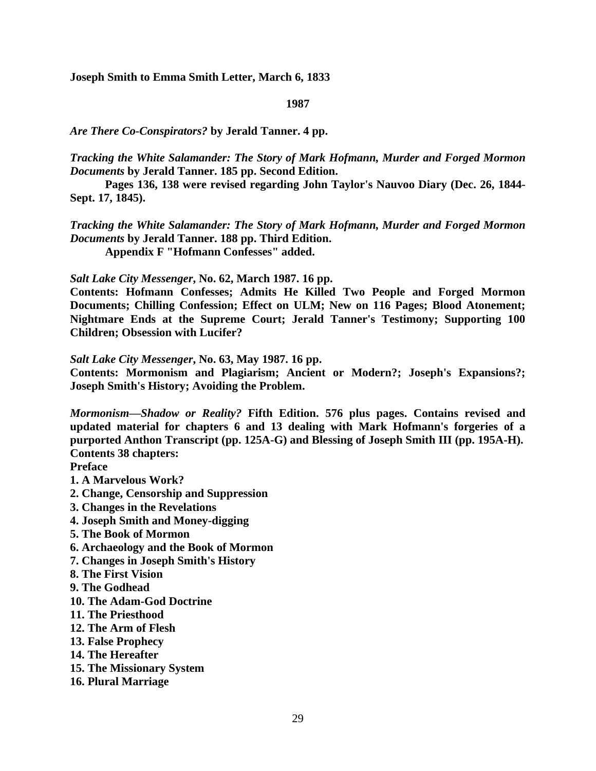**Joseph Smith to Emma Smith Letter, March 6, 1833**

## **1987**

*Are There Co-Conspirators?* **by Jerald Tanner. 4 pp.** 

*Tracking the White Salamander: The Story of Mark Hofmann, Murder and Forged Mormon Documents* **by Jerald Tanner. 185 pp. Second Edition.** 

**Pages 136, 138 were revised regarding John Taylor's Nauvoo Diary (Dec. 26, 1844- Sept. 17, 1845).**

*Tracking the White Salamander: The Story of Mark Hofmann, Murder and Forged Mormon Documents* **by Jerald Tanner. 188 pp. Third Edition.**

**Appendix F "Hofmann Confesses" added.**

*Salt Lake City Messenger***, No. 62, March 1987. 16 pp.** 

**Contents: Hofmann Confesses; Admits He Killed Two People and Forged Mormon Documents; Chilling Confession; Effect on ULM; New on 116 Pages; Blood Atonement; Nightmare Ends at the Supreme Court; Jerald Tanner's Testimony; Supporting 100 Children; Obsession with Lucifer?**

*Salt Lake City Messenger***, No. 63, May 1987. 16 pp.** 

**Contents: Mormonism and Plagiarism; Ancient or Modern?; Joseph's Expansions?; Joseph Smith's History; Avoiding the Problem.**

*Mormonism—Shadow or Reality?* **Fifth Edition. 576 plus pages. Contains revised and updated material for chapters 6 and 13 dealing with Mark Hofmann's forgeries of a purported Anthon Transcript (pp. 125A-G) and Blessing of Joseph Smith III (pp. 195A-H). Contents 38 chapters:**

**Preface**

- **1. A Marvelous Work?**
- **2. Change, Censorship and Suppression**
- **3. Changes in the Revelations**
- **4. Joseph Smith and Money-digging**
- **5. The Book of Mormon**
- **6. Archaeology and the Book of Mormon**
- **7. Changes in Joseph Smith's History**
- **8. The First Vision**
- **9. The Godhead**
- **10. The Adam-God Doctrine**
- **11. The Priesthood**
- **12. The Arm of Flesh**
- **13. False Prophecy**
- **14. The Hereafter**
- **15. The Missionary System**
- **16. Plural Marriage**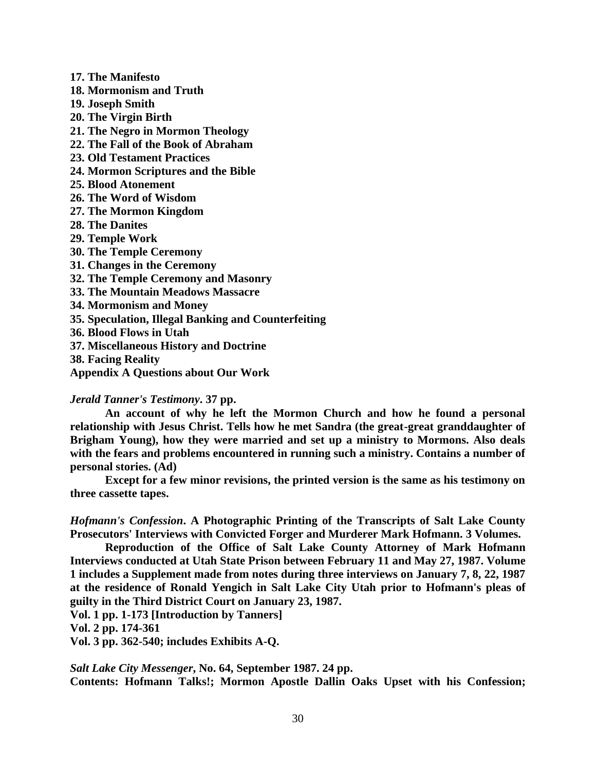**17. The Manifesto 18. Mormonism and Truth 19. Joseph Smith 20. The Virgin Birth 21. The Negro in Mormon Theology 22. The Fall of the Book of Abraham 23. Old Testament Practices 24. Mormon Scriptures and the Bible 25. Blood Atonement 26. The Word of Wisdom 27. The Mormon Kingdom 28. The Danites 29. Temple Work 30. The Temple Ceremony 31. Changes in the Ceremony 32. The Temple Ceremony and Masonry 33. The Mountain Meadows Massacre 34. Mormonism and Money 35. Speculation, Illegal Banking and Counterfeiting 36. Blood Flows in Utah 37. Miscellaneous History and Doctrine 38. Facing Reality**

**Appendix A Questions about Our Work**

## *Jerald Tanner's Testimony***. 37 pp.**

**An account of why he left the Mormon Church and how he found a personal relationship with Jesus Christ. Tells how he met Sandra (the great-great granddaughter of Brigham Young), how they were married and set up a ministry to Mormons. Also deals with the fears and problems encountered in running such a ministry. Contains a number of personal stories. (Ad)**

**Except for a few minor revisions, the printed version is the same as his testimony on three cassette tapes.**

*Hofmann's Confession***. A Photographic Printing of the Transcripts of Salt Lake County Prosecutors' Interviews with Convicted Forger and Murderer Mark Hofmann. 3 Volumes.** 

**Reproduction of the Office of Salt Lake County Attorney of Mark Hofmann Interviews conducted at Utah State Prison between February 11 and May 27, 1987. Volume 1 includes a Supplement made from notes during three interviews on January 7, 8, 22, 1987 at the residence of Ronald Yengich in Salt Lake City Utah prior to Hofmann's pleas of guilty in the Third District Court on January 23, 1987.**

**Vol. 1 pp. 1-173 [Introduction by Tanners]**

**Vol. 2 pp. 174-361**

**Vol. 3 pp. 362-540; includes Exhibits A-Q.**

*Salt Lake City Messenger***, No. 64, September 1987. 24 pp. Contents: Hofmann Talks!; Mormon Apostle Dallin Oaks Upset with his Confession;**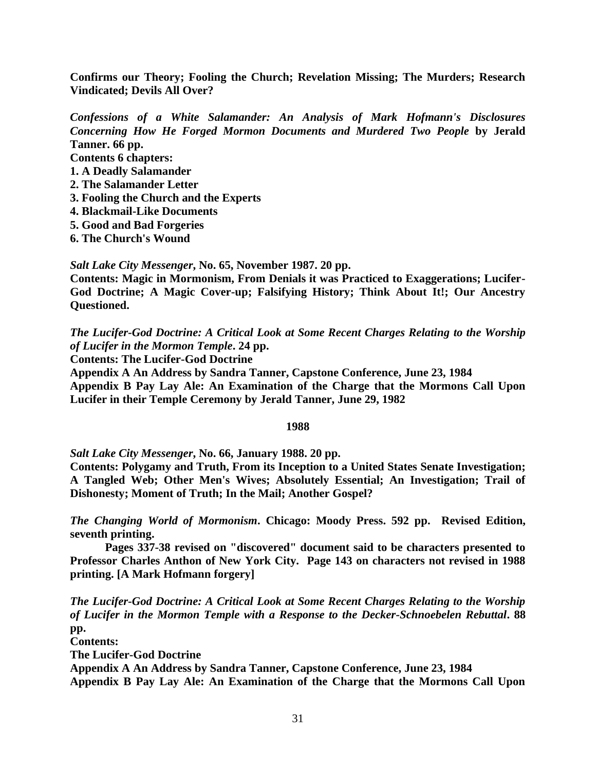**Confirms our Theory; Fooling the Church; Revelation Missing; The Murders; Research Vindicated; Devils All Over?**

*Confessions of a White Salamander: An Analysis of Mark Hofmann's Disclosures Concerning How He Forged Mormon Documents and Murdered Two People* **by Jerald Tanner. 66 pp.**

**Contents 6 chapters:**

- **1. A Deadly Salamander**
- **2. The Salamander Letter**
- **3. Fooling the Church and the Experts**
- **4. Blackmail-Like Documents**
- **5. Good and Bad Forgeries**
- **6. The Church's Wound**

*Salt Lake City Messenger***, No. 65, November 1987. 20 pp.**

**Contents: Magic in Mormonism, From Denials it was Practiced to Exaggerations; Lucifer-God Doctrine; A Magic Cover-up; Falsifying History; Think About It!; Our Ancestry Questioned.**

*The Lucifer-God Doctrine: A Critical Look at Some Recent Charges Relating to the Worship of Lucifer in the Mormon Temple***. 24 pp.**

**Contents: The Lucifer-God Doctrine**

**Appendix A An Address by Sandra Tanner, Capstone Conference, June 23, 1984 Appendix B Pay Lay Ale: An Examination of the Charge that the Mormons Call Upon Lucifer in their Temple Ceremony by Jerald Tanner, June 29, 1982**

## **1988**

*Salt Lake City Messenger***, No. 66, January 1988. 20 pp.**

**Contents: Polygamy and Truth, From its Inception to a United States Senate Investigation; A Tangled Web; Other Men's Wives; Absolutely Essential; An Investigation; Trail of Dishonesty; Moment of Truth; In the Mail; Another Gospel?**

*The Changing World of Mormonism***. Chicago: Moody Press. 592 pp. Revised Edition, seventh printing.** 

**Pages 337-38 revised on "discovered" document said to be characters presented to Professor Charles Anthon of New York City. Page 143 on characters not revised in 1988 printing. [A Mark Hofmann forgery]**

*The Lucifer-God Doctrine: A Critical Look at Some Recent Charges Relating to the Worship of Lucifer in the Mormon Temple with a Response to the Decker-Schnoebelen Rebuttal***. 88 pp.**

**Contents:** 

**The Lucifer-God Doctrine**

**Appendix A An Address by Sandra Tanner, Capstone Conference, June 23, 1984**

**Appendix B Pay Lay Ale: An Examination of the Charge that the Mormons Call Upon**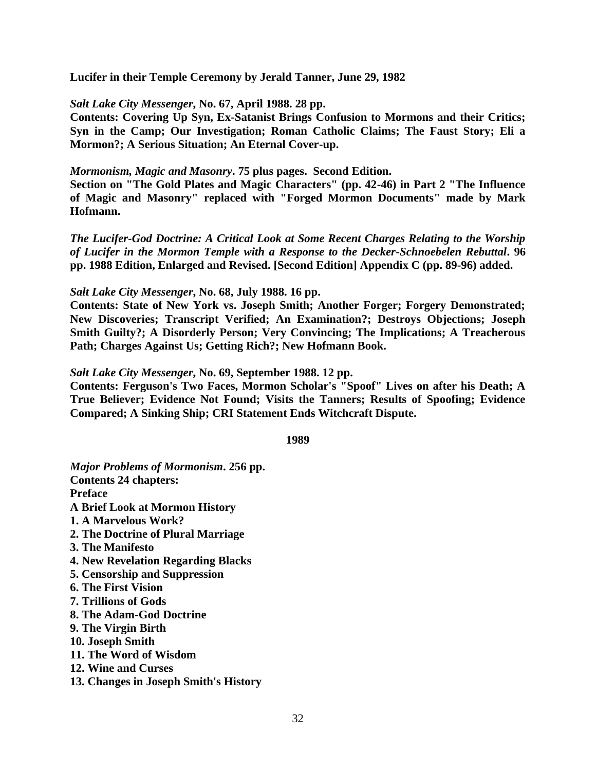**Lucifer in their Temple Ceremony by Jerald Tanner, June 29, 1982**

# *Salt Lake City Messenger***, No. 67, April 1988. 28 pp.**

**Contents: Covering Up Syn, Ex-Satanist Brings Confusion to Mormons and their Critics; Syn in the Camp; Our Investigation; Roman Catholic Claims; The Faust Story; Eli a Mormon?; A Serious Situation; An Eternal Cover-up.**

# *Mormonism, Magic and Masonry***. 75 plus pages. Second Edition.**

**Section on "The Gold Plates and Magic Characters" (pp. 42-46) in Part 2 "The Influence of Magic and Masonry" replaced with "Forged Mormon Documents" made by Mark Hofmann.**

*The Lucifer-God Doctrine: A Critical Look at Some Recent Charges Relating to the Worship of Lucifer in the Mormon Temple with a Response to the Decker-Schnoebelen Rebuttal***. 96 pp. 1988 Edition, Enlarged and Revised. [Second Edition] Appendix C (pp. 89-96) added.**

# *Salt Lake City Messenger***, No. 68, July 1988. 16 pp.**

**Contents: State of New York vs. Joseph Smith; Another Forger; Forgery Demonstrated; New Discoveries; Transcript Verified; An Examination?; Destroys Objections; Joseph Smith Guilty?; A Disorderly Person; Very Convincing; The Implications; A Treacherous Path; Charges Against Us; Getting Rich?; New Hofmann Book.**

# *Salt Lake City Messenger***, No. 69, September 1988. 12 pp.**

**Contents: Ferguson's Two Faces, Mormon Scholar's "Spoof" Lives on after his Death; A True Believer; Evidence Not Found; Visits the Tanners; Results of Spoofing; Evidence Compared; A Sinking Ship; CRI Statement Ends Witchcraft Dispute.**

**1989**

*Major Problems of Mormonism***. 256 pp. Contents 24 chapters: Preface A Brief Look at Mormon History 1. A Marvelous Work? 2. The Doctrine of Plural Marriage 3. The Manifesto 4. New Revelation Regarding Blacks 5. Censorship and Suppression 6. The First Vision 7. Trillions of Gods 8. The Adam-God Doctrine 9. The Virgin Birth 10. Joseph Smith 11. The Word of Wisdom 12. Wine and Curses 13. Changes in Joseph Smith's History**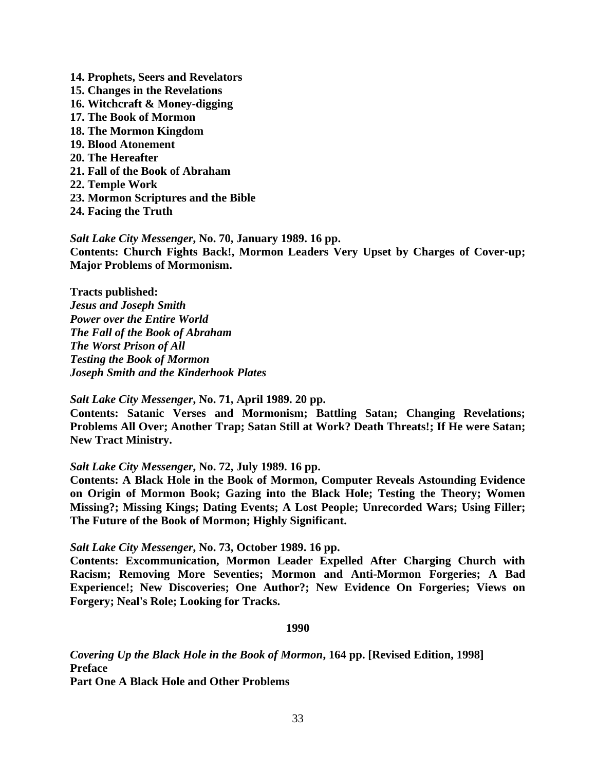- **14. Prophets, Seers and Revelators**
- **15. Changes in the Revelations**
- **16. Witchcraft & Money-digging**
- **17. The Book of Mormon**
- **18. The Mormon Kingdom**
- **19. Blood Atonement**
- **20. The Hereafter**
- **21. Fall of the Book of Abraham**
- **22. Temple Work**
- **23. Mormon Scriptures and the Bible**
- **24. Facing the Truth**

*Salt Lake City Messenger***, No. 70, January 1989. 16 pp. Contents: Church Fights Back!, Mormon Leaders Very Upset by Charges of Cover-up; Major Problems of Mormonism.**

**Tracts published:** *Jesus and Joseph Smith Power over the Entire World The Fall of the Book of Abraham The Worst Prison of All Testing the Book of Mormon Joseph Smith and the Kinderhook Plates*

*Salt Lake City Messenger***, No. 71, April 1989. 20 pp.**

**Contents: Satanic Verses and Mormonism; Battling Satan; Changing Revelations; Problems All Over; Another Trap; Satan Still at Work? Death Threats!; If He were Satan; New Tract Ministry.**

# *Salt Lake City Messenger***, No. 72, July 1989. 16 pp.**

**Contents: A Black Hole in the Book of Mormon, Computer Reveals Astounding Evidence on Origin of Mormon Book; Gazing into the Black Hole; Testing the Theory; Women Missing?; Missing Kings; Dating Events; A Lost People; Unrecorded Wars; Using Filler; The Future of the Book of Mormon; Highly Significant.**

*Salt Lake City Messenger***, No. 73, October 1989. 16 pp.**

**Contents: Excommunication, Mormon Leader Expelled After Charging Church with Racism; Removing More Seventies; Mormon and Anti-Mormon Forgeries; A Bad Experience!; New Discoveries; One Author?; New Evidence On Forgeries; Views on Forgery; Neal's Role; Looking for Tracks.**

**1990**

*Covering Up the Black Hole in the Book of Mormon***, 164 pp. [Revised Edition, 1998] Preface**

**Part One A Black Hole and Other Problems**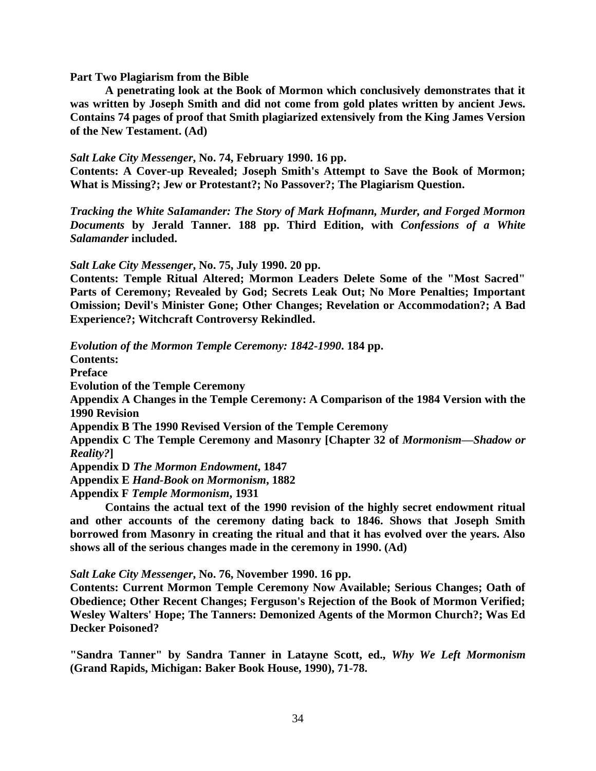### **Part Two Plagiarism from the Bible**

**A penetrating look at the Book of Mormon which conclusively demonstrates that it was written by Joseph Smith and did not come from gold plates written by ancient Jews. Contains 74 pages of proof that Smith plagiarized extensively from the King James Version of the New Testament. (Ad)**

## *Salt Lake City Messenger***, No. 74, February 1990. 16 pp.**

**Contents: A Cover-up Revealed; Joseph Smith's Attempt to Save the Book of Mormon; What is Missing?; Jew or Protestant?; No Passover?; The Plagiarism Question.**

*Tracking the White SaIamander: The Story of Mark Hofmann, Murder, and Forged Mormon Documents* **by Jerald Tanner. 188 pp. Third Edition, with** *Confessions of a White Salamander* **included.**

*Salt Lake City Messenger***, No. 75, July 1990. 20 pp.**

**Contents: Temple Ritual Altered; Mormon Leaders Delete Some of the "Most Sacred" Parts of Ceremony; Revealed by God; Secrets Leak Out; No More Penalties; Important Omission; Devil's Minister Gone; Other Changes; Revelation or Accommodation?; A Bad Experience?; Witchcraft Controversy Rekindled.**

*Evolution of the Mormon Temple Ceremony: 1842-1990***. 184 pp.**

**Contents:** 

**Preface**

**Evolution of the Temple Ceremony**

**Appendix A Changes in the Temple Ceremony: A Comparison of the 1984 Version with the 1990 Revision**

**Appendix B The 1990 Revised Version of the Temple Ceremony**

**Appendix C The Temple Ceremony and Masonry [Chapter 32 of** *Mormonism—Shadow or Reality?***]**

**Appendix D** *The Mormon Endowment***, 1847 Appendix E** *Hand-Book on Mormonism***, 1882**

**Appendix F** *Temple Mormonism***, 1931**

**Contains the actual text of the 1990 revision of the highly secret endowment ritual and other accounts of the ceremony dating back to 1846. Shows that Joseph Smith borrowed from Masonry in creating the ritual and that it has evolved over the years. Also shows all of the serious changes made in the ceremony in 1990. (Ad)**

*Salt Lake City Messenger***, No. 76, November 1990. 16 pp.**

**Contents: Current Mormon Temple Ceremony Now Available; Serious Changes; Oath of Obedience; Other Recent Changes; Ferguson's Rejection of the Book of Mormon Verified; Wesley Walters' Hope; The Tanners: Demonized Agents of the Mormon Church?; Was Ed Decker Poisoned?**

**"Sandra Tanner" by Sandra Tanner in Latayne Scott, ed.,** *Why We Left Mormonism* **(Grand Rapids, Michigan: Baker Book House, 1990), 71-78.**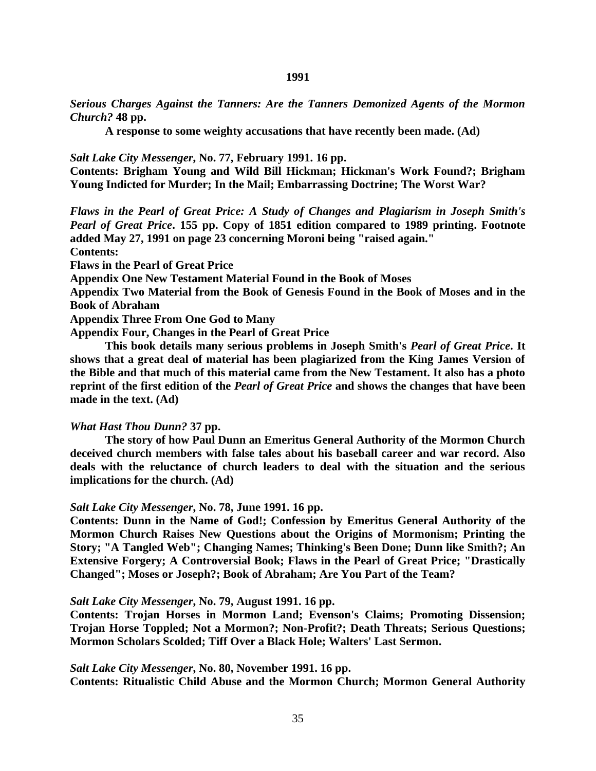*Serious Charges Against the Tanners: Are the Tanners Demonized Agents of the Mormon Church?* **48 pp.**

**A response to some weighty accusations that have recently been made. (Ad)**

*Salt Lake City Messenger***, No. 77, February 1991. 16 pp.**

**Contents: Brigham Young and Wild Bill Hickman; Hickman's Work Found?; Brigham Young Indicted for Murder; In the Mail; Embarrassing Doctrine; The Worst War?**

*Flaws in the Pearl of Great Price: A Study of Changes and Plagiarism in Joseph Smith's Pearl of Great Price***. 155 pp. Copy of 1851 edition compared to 1989 printing. Footnote added May 27, 1991 on page 23 concerning Moroni being "raised again."**

**Contents:** 

**Flaws in the Pearl of Great Price**

**Appendix One New Testament Material Found in the Book of Moses**

**Appendix Two Material from the Book of Genesis Found in the Book of Moses and in the Book of Abraham**

**Appendix Three From One God to Many**

**Appendix Four, Changes in the Pearl of Great Price**

**This book details many serious problems in Joseph Smith's** *Pearl of Great Price***. It shows that a great deal of material has been plagiarized from the King James Version of the Bible and that much of this material came from the New Testament. It also has a photo reprint of the first edition of the** *Pearl of Great Price* **and shows the changes that have been made in the text. (Ad)**

#### *What Hast Thou Dunn?* **37 pp.**

**The story of how Paul Dunn an Emeritus General Authority of the Mormon Church deceived church members with false tales about his baseball career and war record. Also deals with the reluctance of church leaders to deal with the situation and the serious implications for the church. (Ad)**

#### *Salt Lake City Messenger***, No. 78, June 1991. 16 pp.**

**Contents: Dunn in the Name of God!; Confession by Emeritus General Authority of the Mormon Church Raises New Questions about the Origins of Mormonism; Printing the Story; "A Tangled Web"; Changing Names; Thinking's Been Done; Dunn like Smith?; An Extensive Forgery; A Controversial Book; Flaws in the Pearl of Great Price; "Drastically Changed"; Moses or Joseph?; Book of Abraham; Are You Part of the Team?**

#### *Salt Lake City Messenger***, No. 79, August 1991. 16 pp.**

**Contents: Trojan Horses in Mormon Land; Evenson's Claims; Promoting Dissension; Trojan Horse Toppled; Not a Mormon?; Non-Profit?; Death Threats; Serious Questions; Mormon Scholars Scolded; Tiff Over a Black Hole; Walters' Last Sermon.**

## *Salt Lake City Messenger***, No. 80, November 1991. 16 pp.**

**Contents: Ritualistic Child Abuse and the Mormon Church; Mormon General Authority**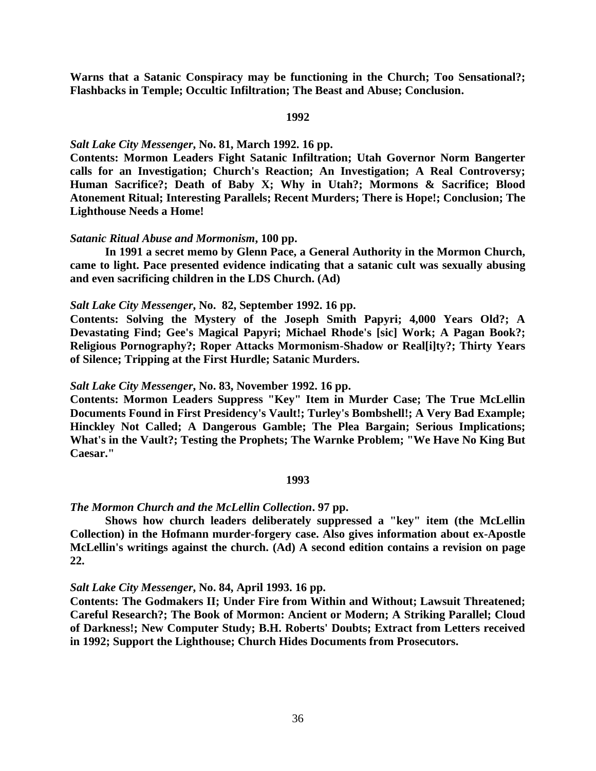**Warns that a Satanic Conspiracy may be functioning in the Church; Too Sensational?; Flashbacks in Temple; Occultic Infiltration; The Beast and Abuse; Conclusion.**

### **1992**

# *Salt Lake City Messenger***, No. 81, March 1992. 16 pp.**

**Contents: Mormon Leaders Fight Satanic Infiltration; Utah Governor Norm Bangerter calls for an Investigation; Church's Reaction; An Investigation; A Real Controversy; Human Sacrifice?; Death of Baby X; Why in Utah?; Mormons & Sacrifice; Blood Atonement Ritual; Interesting Parallels; Recent Murders; There is Hope!; Conclusion; The Lighthouse Needs a Home!**

#### *Satanic Ritual Abuse and Mormonism***, 100 pp.**

**In 1991 a secret memo by Glenn Pace, a General Authority in the Mormon Church, came to light. Pace presented evidence indicating that a satanic cult was sexually abusing and even sacrificing children in the LDS Church. (Ad)**

## *Salt Lake City Messenger***, No. 82, September 1992. 16 pp.**

**Contents: Solving the Mystery of the Joseph Smith Papyri; 4,000 Years Old?; A Devastating Find; Gee's Magical Papyri; Michael Rhode's [sic] Work; A Pagan Book?; Religious Pornography?; Roper Attacks Mormonism-Shadow or Real[i]ty?; Thirty Years of Silence; Tripping at the First Hurdle; Satanic Murders.**

### *Salt Lake City Messenger***, No. 83, November 1992. 16 pp.**

**Contents: Mormon Leaders Suppress "Key" Item in Murder Case; The True McLellin Documents Found in First Presidency's Vault!; Turley's Bombshell!; A Very Bad Example; Hinckley Not Called; A Dangerous Gamble; The Plea Bargain; Serious Implications; What's in the Vault?; Testing the Prophets; The Warnke Problem; "We Have No King But Caesar."**

#### **1993**

#### *The Mormon Church and the McLellin Collection***. 97 pp.**

**Shows how church leaders deliberately suppressed a "key" item (the McLellin Collection) in the Hofmann murder-forgery case. Also gives information about ex-Apostle McLellin's writings against the church. (Ad) A second edition contains a revision on page 22.**

*Salt Lake City Messenger***, No. 84, April 1993. 16 pp.**

**Contents: The Godmakers II; Under Fire from Within and Without; Lawsuit Threatened; Careful Research?; The Book of Mormon: Ancient or Modern; A Striking Parallel; Cloud of Darkness!; New Computer Study; B.H. Roberts' Doubts; Extract from Letters received in 1992; Support the Lighthouse; Church Hides Documents from Prosecutors.**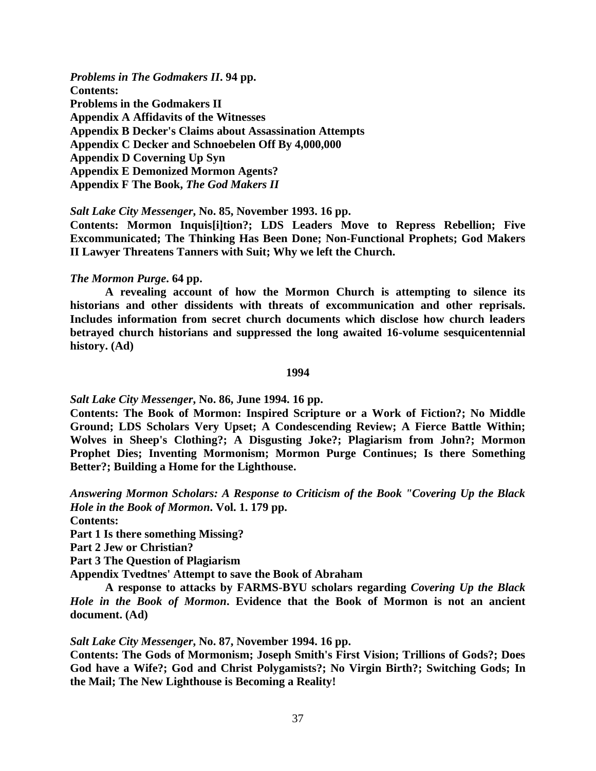*Problems in The Godmakers II***. 94 pp. Contents: Problems in the Godmakers II Appendix A Affidavits of the Witnesses Appendix B Decker's Claims about Assassination Attempts Appendix C Decker and Schnoebelen Off By 4,000,000 Appendix D Coverning Up Syn Appendix E Demonized Mormon Agents? Appendix F The Book,** *The God Makers II*

*Salt Lake City Messenger***, No. 85, November 1993. 16 pp.**

**Contents: Mormon Inquis[i]tion?; LDS Leaders Move to Repress Rebellion; Five Excommunicated; The Thinking Has Been Done; Non-Functional Prophets; God Makers II Lawyer Threatens Tanners with Suit; Why we left the Church.**

### *The Mormon Purge***. 64 pp.**

**A revealing account of how the Mormon Church is attempting to silence its historians and other dissidents with threats of excommunication and other reprisals. Includes information from secret church documents which disclose how church leaders betrayed church historians and suppressed the long awaited 16-volume sesquicentennial history. (Ad)**

#### **1994**

*Salt Lake City Messenger***, No. 86, June 1994. 16 pp.**

**Contents: The Book of Mormon: Inspired Scripture or a Work of Fiction?; No Middle Ground; LDS Scholars Very Upset; A Condescending Review; A Fierce Battle Within; Wolves in Sheep's Clothing?; A Disgusting Joke?; Plagiarism from John?; Mormon Prophet Dies; Inventing Mormonism; Mormon Purge Continues; Is there Something Better?; Building a Home for the Lighthouse.**

*Answering Mormon Scholars: A Response to Criticism of the Book "Covering Up the Black Hole in the Book of Mormon***. Vol. 1. 179 pp.**

**Contents:**

**Part 1 Is there something Missing?**

**Part 2 Jew or Christian?**

**Part 3 The Question of Plagiarism**

**Appendix Tvedtnes' Attempt to save the Book of Abraham**

**A response to attacks by FARMS-BYU scholars regarding** *Covering Up the Black Hole in the Book of Mormon***. Evidence that the Book of Mormon is not an ancient document. (Ad)**

*Salt Lake City Messenger***, No. 87, November 1994. 16 pp.**

**Contents: The Gods of Mormonism; Joseph Smith's First Vision; Trillions of Gods?; Does God have a Wife?; God and Christ Polygamists?; No Virgin Birth?; Switching Gods; In the Mail; The New Lighthouse is Becoming a Reality!**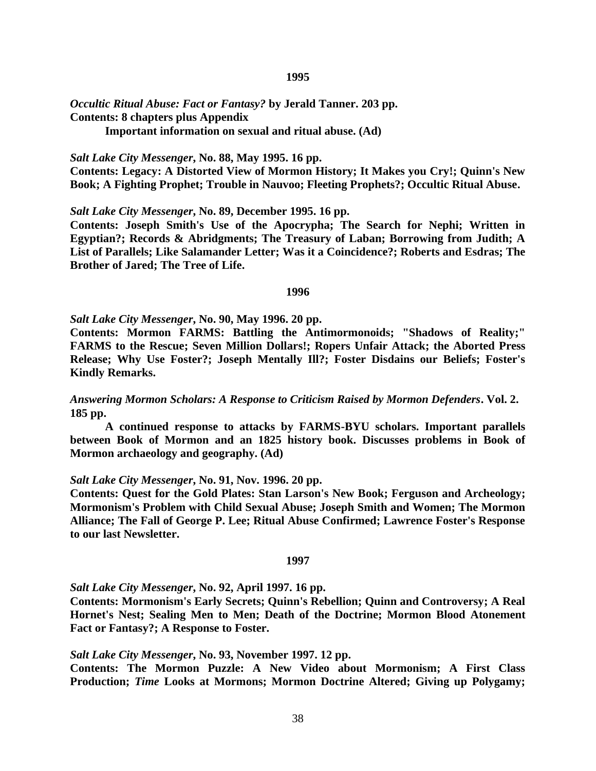#### **1995**

*Occultic Ritual Abuse: Fact or Fantasy?* **by Jerald Tanner. 203 pp. Contents: 8 chapters plus Appendix**

**Important information on sexual and ritual abuse. (Ad)**

*Salt Lake City Messenger***, No. 88, May 1995. 16 pp.**

**Contents: Legacy: A Distorted View of Mormon History; It Makes you Cry!; Quinn's New Book; A Fighting Prophet; Trouble in Nauvoo; Fleeting Prophets?; Occultic Ritual Abuse.**

*Salt Lake City Messenger***, No. 89, December 1995. 16 pp.**

**Contents: Joseph Smith's Use of the Apocrypha; The Search for Nephi; Written in Egyptian?; Records & Abridgments; The Treasury of Laban; Borrowing from Judith; A List of Parallels; Like Salamander Letter; Was it a Coincidence?; Roberts and Esdras; The Brother of Jared; The Tree of Life.**

#### **1996**

*Salt Lake City Messenger***, No. 90, May 1996. 20 pp.**

**Contents: Mormon FARMS: Battling the Antimormonoids; "Shadows of Reality;" FARMS to the Rescue; Seven Million Dollars!; Ropers Unfair Attack; the Aborted Press Release; Why Use Foster?; Joseph Mentally Ill?; Foster Disdains our Beliefs; Foster's Kindly Remarks.**

*Answering Mormon Scholars: A Response to Criticism Raised by Mormon Defenders***. Vol. 2. 185 pp.**

**A continued response to attacks by FARMS-BYU scholars. Important parallels between Book of Mormon and an 1825 history book. Discusses problems in Book of Mormon archaeology and geography. (Ad)**

### *Salt Lake City Messenger***, No. 91, Nov. 1996. 20 pp.**

**Contents: Quest for the Gold Plates: Stan Larson's New Book; Ferguson and Archeology; Mormonism's Problem with Child Sexual Abuse; Joseph Smith and Women; The Mormon Alliance; The Fall of George P. Lee; Ritual Abuse Confirmed; Lawrence Foster's Response to our last Newsletter.**

### **1997**

*Salt Lake City Messenger***, No. 92, April 1997. 16 pp.**

**Contents: Mormonism's Early Secrets; Quinn's Rebellion; Quinn and Controversy; A Real Hornet's Nest; Sealing Men to Men; Death of the Doctrine; Mormon Blood Atonement Fact or Fantasy?; A Response to Foster.**

*Salt Lake City Messenger***, No. 93, November 1997. 12 pp.**

**Contents: The Mormon Puzzle: A New Video about Mormonism; A First Class Production;** *Time* **Looks at Mormons; Mormon Doctrine Altered; Giving up Polygamy;**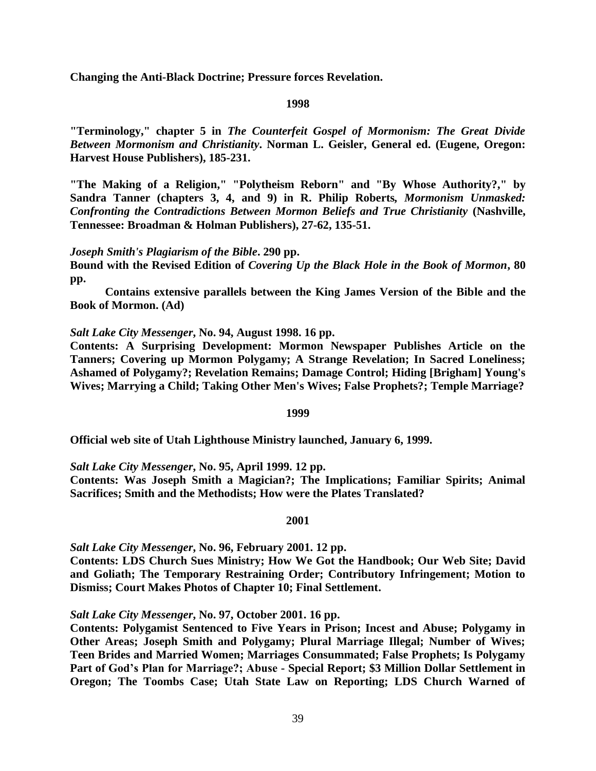**Changing the Anti-Black Doctrine; Pressure forces Revelation.**

## **1998**

**"Terminology," chapter 5 in** *The Counterfeit Gospel of Mormonism: The Great Divide Between Mormonism and Christianity***. Norman L. Geisler, General ed. (Eugene, Oregon: Harvest House Publishers), 185-231.**

**"The Making of a Religion," "Polytheism Reborn" and "By Whose Authority?," by Sandra Tanner (chapters 3, 4, and 9) in R. Philip Roberts***, Mormonism Unmasked: Confronting the Contradictions Between Mormon Beliefs and True Christianity* **(Nashville, Tennessee: Broadman & Holman Publishers), 27-62, 135-51.**

*Joseph Smith's Plagiarism of the Bible***. 290 pp.**

**Bound with the Revised Edition of** *Covering Up the Black Hole in the Book of Mormon***, 80 pp.**

**Contains extensive parallels between the King James Version of the Bible and the Book of Mormon. (Ad)**

*Salt Lake City Messenger***, No. 94, August 1998. 16 pp.**

**Contents: A Surprising Development: Mormon Newspaper Publishes Article on the Tanners; Covering up Mormon Polygamy; A Strange Revelation; In Sacred Loneliness; Ashamed of Polygamy?; Revelation Remains; Damage Control; Hiding [Brigham] Young's Wives; Marrying a Child; Taking Other Men's Wives; False Prophets?; Temple Marriage?**

## **1999**

**Official web site of Utah Lighthouse Ministry launched, January 6, 1999.**

*Salt Lake City Messenger***, No. 95, April 1999. 12 pp.**

**Contents: Was Joseph Smith a Magician?; The Implications; Familiar Spirits; Animal Sacrifices; Smith and the Methodists; How were the Plates Translated?**

### **2001**

*Salt Lake City Messenger***, No. 96, February 2001. 12 pp.**

**Contents: LDS Church Sues Ministry; How We Got the Handbook; Our Web Site; David and Goliath; The Temporary Restraining Order; Contributory Infringement; Motion to Dismiss; Court Makes Photos of Chapter 10; Final Settlement.**

## *Salt Lake City Messenger***, No. 97, October 2001. 16 pp.**

**Contents: Polygamist Sentenced to Five Years in Prison; Incest and Abuse; Polygamy in Other Areas; Joseph Smith and Polygamy; Plural Marriage Illegal; Number of Wives; Teen Brides and Married Women; Marriages Consummated; False Prophets; Is Polygamy Part of God's Plan for Marriage?; Abuse - Special Report; \$3 Million Dollar Settlement in Oregon; The Toombs Case; Utah State Law on Reporting; LDS Church Warned of**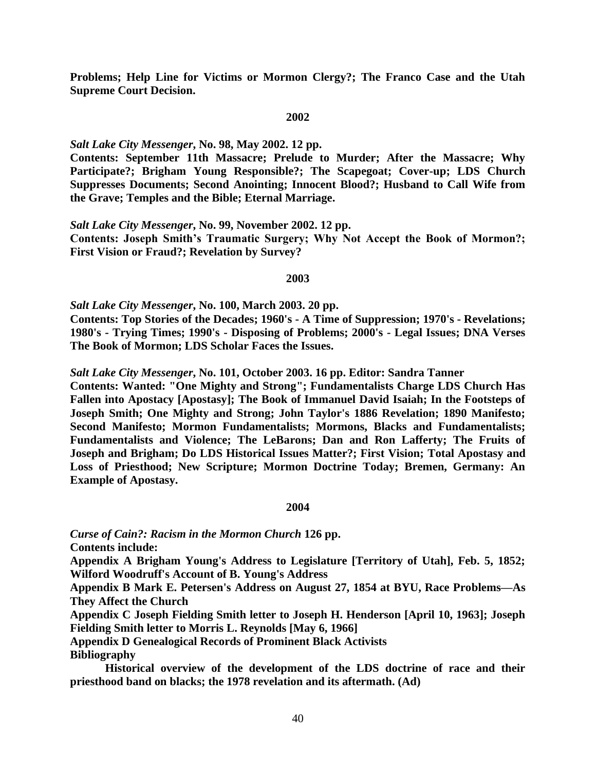**Problems; Help Line for Victims or Mormon Clergy?; The Franco Case and the Utah Supreme Court Decision.**

### **2002**

## *Salt Lake City Messenger***, No. 98, May 2002. 12 pp.**

**Contents: September 11th Massacre; Prelude to Murder; After the Massacre; Why Participate?; Brigham Young Responsible?; The Scapegoat; Cover-up; LDS Church Suppresses Documents; Second Anointing; Innocent Blood?; Husband to Call Wife from the Grave; Temples and the Bible; Eternal Marriage.**

## *Salt Lake City Messenger***, No. 99, November 2002. 12 pp.**

**Contents: Joseph Smith's Traumatic Surgery; Why Not Accept the Book of Mormon?; First Vision or Fraud?; Revelation by Survey?**

### **2003**

*Salt Lake City Messenger***, No. 100, March 2003. 20 pp.**

**Contents: Top Stories of the Decades; 1960's - A Time of Suppression; 1970's - Revelations; 1980's - Trying Times; 1990's - Disposing of Problems; 2000's - Legal Issues; DNA Verses The Book of Mormon; LDS Scholar Faces the Issues.**

*Salt Lake City Messenger***, No. 101, October 2003. 16 pp. Editor: Sandra Tanner**

**Contents: Wanted: "One Mighty and Strong"; Fundamentalists Charge LDS Church Has Fallen into Apostacy [Apostasy]; The Book of Immanuel David Isaiah; In the Footsteps of Joseph Smith; One Mighty and Strong; John Taylor's 1886 Revelation; 1890 Manifesto; Second Manifesto; Mormon Fundamentalists; Mormons, Blacks and Fundamentalists; Fundamentalists and Violence; The LeBarons; Dan and Ron Lafferty; The Fruits of Joseph and Brigham; Do LDS Historical Issues Matter?; First Vision; Total Apostasy and Loss of Priesthood; New Scripture; Mormon Doctrine Today; Bremen, Germany: An Example of Apostasy.**

### **2004**

*Curse of Cain?: Racism in the Mormon Church* **126 pp.**

**Contents include:**

**Appendix A Brigham Young's Address to Legislature [Territory of Utah], Feb. 5, 1852; Wilford Woodruff's Account of B. Young's Address**

**Appendix B Mark E. Petersen's Address on August 27, 1854 at BYU, Race Problems—As They Affect the Church**

**Appendix C Joseph Fielding Smith letter to Joseph H. Henderson [April 10, 1963]; Joseph Fielding Smith letter to Morris L. Reynolds [May 6, 1966]**

**Appendix D Genealogical Records of Prominent Black Activists Bibliography**

**Historical overview of the development of the LDS doctrine of race and their priesthood band on blacks; the 1978 revelation and its aftermath. (Ad)**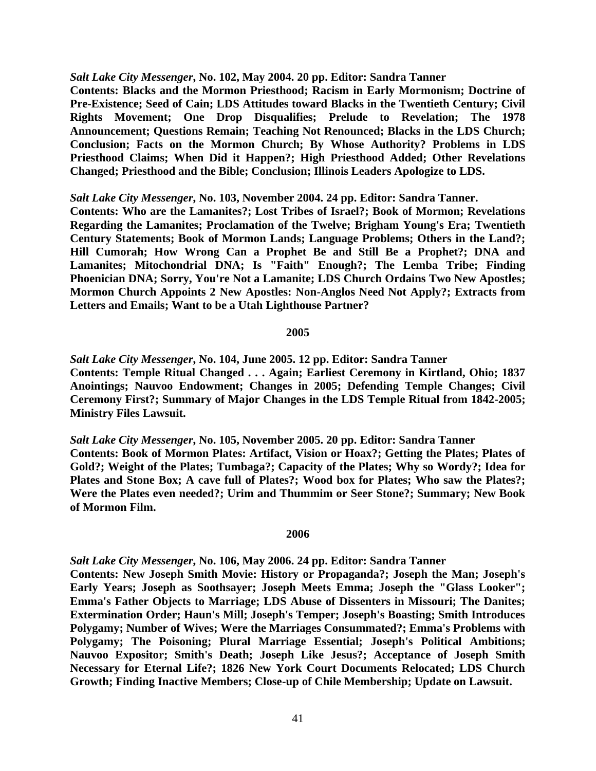*Salt Lake City Messenger***, No. 102, May 2004. 20 pp. Editor: Sandra Tanner**

**Contents: Blacks and the Mormon Priesthood; Racism in Early Mormonism; Doctrine of Pre-Existence; Seed of Cain; LDS Attitudes toward Blacks in the Twentieth Century; Civil Rights Movement; One Drop Disqualifies; Prelude to Revelation; The 1978 Announcement; Questions Remain; Teaching Not Renounced; Blacks in the LDS Church; Conclusion; Facts on the Mormon Church; By Whose Authority? Problems in LDS Priesthood Claims; When Did it Happen?; High Priesthood Added; Other Revelations Changed; Priesthood and the Bible; Conclusion; Illinois Leaders Apologize to LDS.**

### *Salt Lake City Messenger***, No. 103, November 2004. 24 pp. Editor: Sandra Tanner.**

**Contents: Who are the Lamanites?; Lost Tribes of Israel?; Book of Mormon; Revelations Regarding the Lamanites; Proclamation of the Twelve; Brigham Young's Era; Twentieth Century Statements; Book of Mormon Lands; Language Problems; Others in the Land?; Hill Cumorah; How Wrong Can a Prophet Be and Still Be a Prophet?; DNA and Lamanites; Mitochondrial DNA; Is "Faith" Enough?; The Lemba Tribe; Finding Phoenician DNA; Sorry, You're Not a Lamanite; LDS Church Ordains Two New Apostles; Mormon Church Appoints 2 New Apostles: Non-Anglos Need Not Apply?; Extracts from Letters and Emails; Want to be a Utah Lighthouse Partner?**

## **2005**

*Salt Lake City Messenger***, No. 104, June 2005. 12 pp. Editor: Sandra Tanner Contents: Temple Ritual Changed . . . Again; Earliest Ceremony in Kirtland, Ohio; 1837 Anointings; Nauvoo Endowment; Changes in 2005; Defending Temple Changes; Civil Ceremony First?; Summary of Major Changes in the LDS Temple Ritual from 1842-2005; Ministry Files Lawsuit.**

*Salt Lake City Messenger***, No. 105, November 2005. 20 pp. Editor: Sandra Tanner Contents: Book of Mormon Plates: Artifact, Vision or Hoax?; Getting the Plates; Plates of Gold?; Weight of the Plates; Tumbaga?; Capacity of the Plates; Why so Wordy?; Idea for Plates and Stone Box; A cave full of Plates?; Wood box for Plates; Who saw the Plates?; Were the Plates even needed?; Urim and Thummim or Seer Stone?; Summary; New Book of Mormon Film.**

#### **2006**

*Salt Lake City Messenger***, No. 106, May 2006. 24 pp. Editor: Sandra Tanner Contents: New Joseph Smith Movie: History or Propaganda?; Joseph the Man; Joseph's Early Years; Joseph as Soothsayer; Joseph Meets Emma; Joseph the "Glass Looker"; Emma's Father Objects to Marriage; LDS Abuse of Dissenters in Missouri; The Danites; Extermination Order; Haun's Mill; Joseph's Temper; Joseph's Boasting; Smith Introduces Polygamy; Number of Wives; Were the Marriages Consummated?; Emma's Problems with Polygamy; The Poisoning; Plural Marriage Essential; Joseph's Political Ambitions; Nauvoo Expositor; Smith's Death; Joseph Like Jesus?; Acceptance of Joseph Smith Necessary for Eternal Life?; 1826 New York Court Documents Relocated; LDS Church Growth; Finding Inactive Members; Close-up of Chile Membership; Update on Lawsuit.**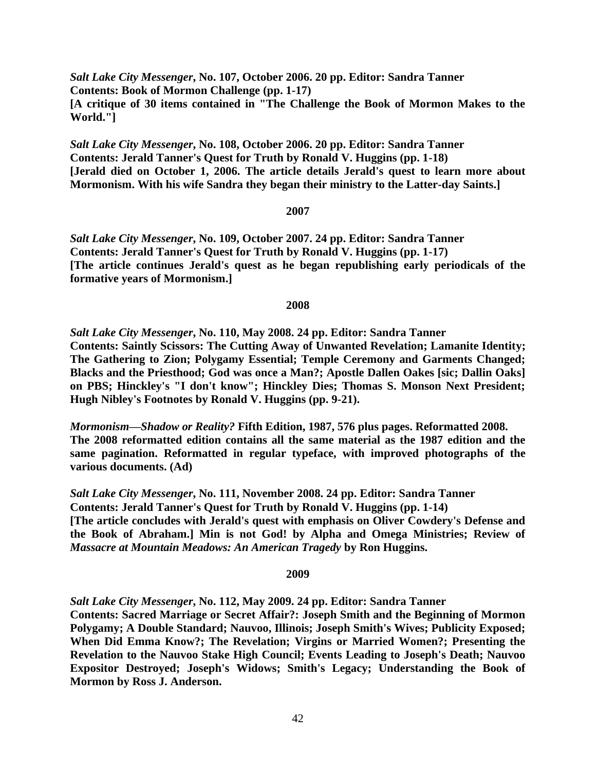*Salt Lake City Messenger***, No. 107, October 2006. 20 pp. Editor: Sandra Tanner Contents: Book of Mormon Challenge (pp. 1-17) [A critique of 30 items contained in "The Challenge the Book of Mormon Makes to the World."]**

*Salt Lake City Messenger***, No. 108, October 2006. 20 pp. Editor: Sandra Tanner Contents: Jerald Tanner's Quest for Truth by Ronald V. Huggins (pp. 1-18) [Jerald died on October 1, 2006. The article details Jerald's quest to learn more about Mormonism. With his wife Sandra they began their ministry to the Latter-day Saints.]**

# **2007**

*Salt Lake City Messenger***, No. 109, October 2007. 24 pp. Editor: Sandra Tanner Contents: Jerald Tanner's Quest for Truth by Ronald V. Huggins (pp. 1-17) [The article continues Jerald's quest as he began republishing early periodicals of the formative years of Mormonism.]**

# **2008**

*Salt Lake City Messenger***, No. 110, May 2008. 24 pp. Editor: Sandra Tanner Contents: Saintly Scissors: The Cutting Away of Unwanted Revelation; Lamanite Identity; The Gathering to Zion; Polygamy Essential; Temple Ceremony and Garments Changed; Blacks and the Priesthood; God was once a Man?; Apostle Dallen Oakes [sic; Dallin Oaks] on PBS; Hinckley's "I don't know"; Hinckley Dies; Thomas S. Monson Next President; Hugh Nibley's Footnotes by Ronald V. Huggins (pp. 9-21).**

*Mormonism—Shadow or Reality?* **Fifth Edition, 1987, 576 plus pages. Reformatted 2008. The 2008 reformatted edition contains all the same material as the 1987 edition and the same pagination. Reformatted in regular typeface, with improved photographs of the various documents. (Ad)**

*Salt Lake City Messenger***, No. 111, November 2008. 24 pp. Editor: Sandra Tanner Contents: Jerald Tanner's Quest for Truth by Ronald V. Huggins (pp. 1-14) [The article concludes with Jerald's quest with emphasis on Oliver Cowdery's Defense and the Book of Abraham.] Min is not God! by Alpha and Omega Ministries; Review of**  *Massacre at Mountain Meadows: An American Tragedy* **by Ron Huggins.**

**2009**

*Salt Lake City Messenger***, No. 112, May 2009. 24 pp. Editor: Sandra Tanner Contents: Sacred Marriage or Secret Affair?: Joseph Smith and the Beginning of Mormon Polygamy; A Double Standard; Nauvoo, Illinois; Joseph Smith's Wives; Publicity Exposed; When Did Emma Know?; The Revelation; Virgins or Married Women?; Presenting the Revelation to the Nauvoo Stake High Council; Events Leading to Joseph's Death; Nauvoo Expositor Destroyed; Joseph's Widows; Smith's Legacy; Understanding the Book of Mormon by Ross J. Anderson.**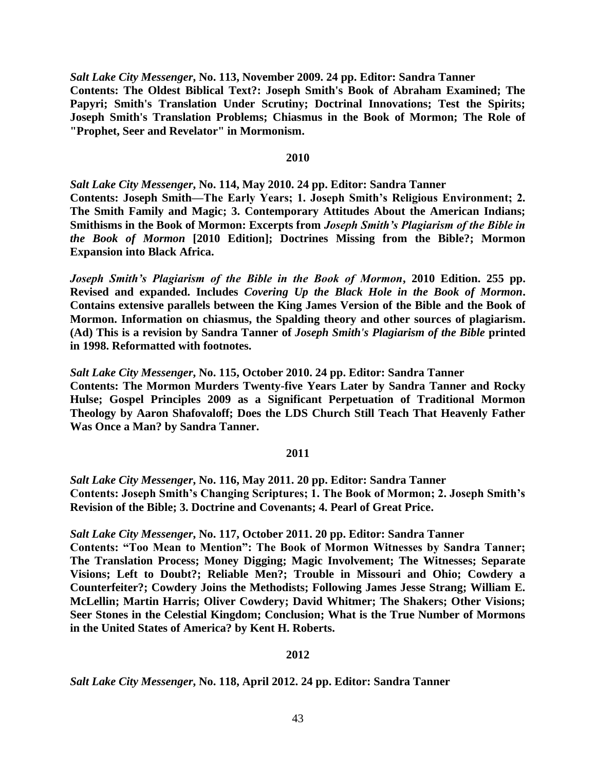*Salt Lake City Messenger***, No. 113, November 2009. 24 pp. Editor: Sandra Tanner Contents: The Oldest Biblical Text?: Joseph Smith's Book of Abraham Examined; The Papyri; Smith's Translation Under Scrutiny; Doctrinal Innovations; Test the Spirits; Joseph Smith's Translation Problems; Chiasmus in the Book of Mormon; The Role of "Prophet, Seer and Revelator" in Mormonism.**

## **2010**

*Salt Lake City Messenger***, No. 114, May 2010. 24 pp. Editor: Sandra Tanner Contents: Joseph Smith—The Early Years; 1. Joseph Smith's Religious Environment; 2. The Smith Family and Magic; 3. Contemporary Attitudes About the American Indians; Smithisms in the Book of Mormon: Excerpts from** *Joseph Smith's Plagiarism of the Bible in the Book of Mormon* **[2010 Edition]; Doctrines Missing from the Bible?; Mormon Expansion into Black Africa.**

*Joseph Smith's Plagiarism of the Bible in the Book of Mormon***, 2010 Edition. 255 pp. Revised and expanded. Includes** *Covering Up the Black Hole in the Book of Mormon***. Contains extensive parallels between the King James Version of the Bible and the Book of Mormon. Information on chiasmus, the Spalding theory and other sources of plagiarism. (Ad) This is a revision by Sandra Tanner of** *Joseph Smith's Plagiarism of the Bible* **printed in 1998. Reformatted with footnotes.**

*Salt Lake City Messenger***, No. 115, October 2010. 24 pp. Editor: Sandra Tanner Contents: The Mormon Murders Twenty-five Years Later by Sandra Tanner and Rocky Hulse; Gospel Principles 2009 as a Significant Perpetuation of Traditional Mormon Theology by Aaron Shafovaloff; Does the LDS Church Still Teach That Heavenly Father Was Once a Man? by Sandra Tanner.**

# **2011**

*Salt Lake City Messenger***, No. 116, May 2011. 20 pp. Editor: Sandra Tanner Contents: Joseph Smith's Changing Scriptures; 1. The Book of Mormon; 2. Joseph Smith's Revision of the Bible; 3. Doctrine and Covenants; 4. Pearl of Great Price.**

*Salt Lake City Messenger***, No. 117, October 2011. 20 pp. Editor: Sandra Tanner**

**Contents: "Too Mean to Mention": The Book of Mormon Witnesses by Sandra Tanner; The Translation Process; Money Digging; Magic Involvement; The Witnesses; Separate Visions; Left to Doubt?; Reliable Men?; Trouble in Missouri and Ohio; Cowdery a Counterfeiter?; Cowdery Joins the Methodists; Following James Jesse Strang; William E. McLellin; Martin Harris; Oliver Cowdery; David Whitmer; The Shakers; Other Visions; Seer Stones in the Celestial Kingdom; Conclusion; What is the True Number of Mormons in the United States of America? by Kent H. Roberts.**

# **2012**

*Salt Lake City Messenger***, No. 118, April 2012. 24 pp. Editor: Sandra Tanner**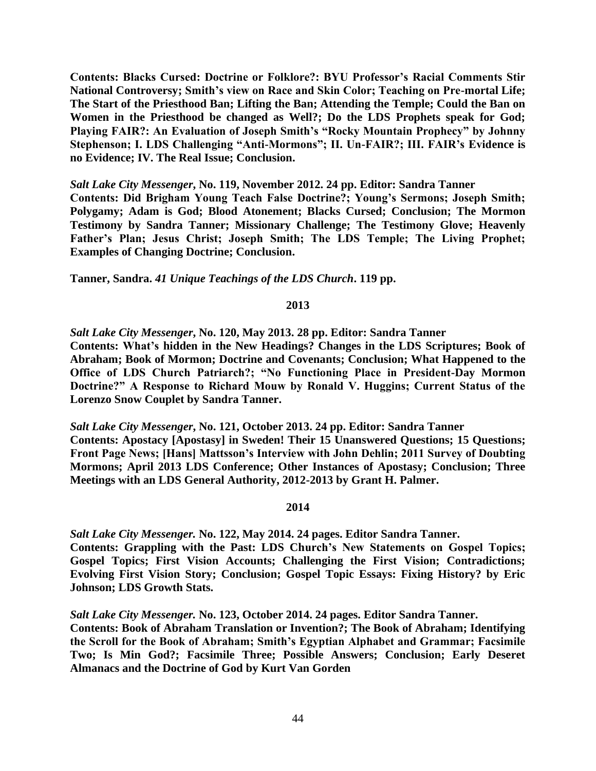**Contents: Blacks Cursed: Doctrine or Folklore?: BYU Professor's Racial Comments Stir National Controversy; Smith's view on Race and Skin Color; Teaching on Pre-mortal Life; The Start of the Priesthood Ban; Lifting the Ban; Attending the Temple; Could the Ban on Women in the Priesthood be changed as Well?; Do the LDS Prophets speak for God; Playing FAIR?: An Evaluation of Joseph Smith's "Rocky Mountain Prophecy" by Johnny Stephenson; I. LDS Challenging "Anti-Mormons"; II. Un-FAIR?; III. FAIR's Evidence is no Evidence; IV. The Real Issue; Conclusion.**

*Salt Lake City Messenger***, No. 119, November 2012. 24 pp. Editor: Sandra Tanner Contents: Did Brigham Young Teach False Doctrine?; Young's Sermons; Joseph Smith; Polygamy; Adam is God; Blood Atonement; Blacks Cursed; Conclusion; The Mormon Testimony by Sandra Tanner; Missionary Challenge; The Testimony Glove; Heavenly Father's Plan; Jesus Christ; Joseph Smith; The LDS Temple; The Living Prophet; Examples of Changing Doctrine; Conclusion.**

**Tanner, Sandra.** *41 Unique Teachings of the LDS Church***. 119 pp.**

# **2013**

*Salt Lake City Messenger***, No. 120, May 2013. 28 pp. Editor: Sandra Tanner Contents: What's hidden in the New Headings? Changes in the LDS Scriptures; Book of Abraham; Book of Mormon; Doctrine and Covenants; Conclusion; What Happened to the Office of LDS Church Patriarch?; "No Functioning Place in President-Day Mormon Doctrine?" A Response to Richard Mouw by Ronald V. Huggins; Current Status of the Lorenzo Snow Couplet by Sandra Tanner.**

*Salt Lake City Messenger***, No. 121, October 2013. 24 pp. Editor: Sandra Tanner Contents: Apostacy [Apostasy] in Sweden! Their 15 Unanswered Questions; 15 Questions; Front Page News; [Hans] Mattsson's Interview with John Dehlin; 2011 Survey of Doubting Mormons; April 2013 LDS Conference; Other Instances of Apostasy; Conclusion; Three Meetings with an LDS General Authority, 2012-2013 by Grant H. Palmer.**

## **2014**

*Salt Lake City Messenger.* **No. 122, May 2014. 24 pages. Editor Sandra Tanner. Contents: Grappling with the Past: LDS Church's New Statements on Gospel Topics; Gospel Topics; First Vision Accounts; Challenging the First Vision; Contradictions; Evolving First Vision Story; Conclusion; Gospel Topic Essays: Fixing History? by Eric Johnson; LDS Growth Stats.**

*Salt Lake City Messenger.* **No. 123, October 2014. 24 pages. Editor Sandra Tanner. Contents: Book of Abraham Translation or Invention?; The Book of Abraham; Identifying the Scroll for the Book of Abraham; Smith's Egyptian Alphabet and Grammar; Facsimile Two; Is Min God?; Facsimile Three; Possible Answers; Conclusion; Early Deseret Almanacs and the Doctrine of God by Kurt Van Gorden**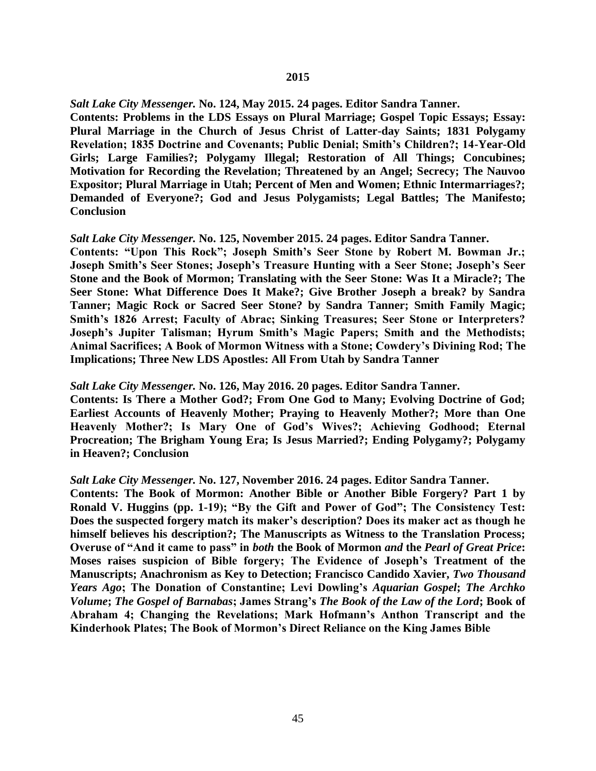*Salt Lake City Messenger.* **No. 124, May 2015. 24 pages. Editor Sandra Tanner.**

**Contents: Problems in the LDS Essays on Plural Marriage; Gospel Topic Essays; Essay: Plural Marriage in the Church of Jesus Christ of Latter-day Saints; 1831 Polygamy Revelation; 1835 Doctrine and Covenants; Public Denial; Smith's Children?; 14-Year-Old Girls; Large Families?; Polygamy Illegal; Restoration of All Things; Concubines; Motivation for Recording the Revelation; Threatened by an Angel; Secrecy; The Nauvoo Expositor; Plural Marriage in Utah; Percent of Men and Women; Ethnic Intermarriages?; Demanded of Everyone?; God and Jesus Polygamists; Legal Battles; The Manifesto; Conclusion**

## *Salt Lake City Messenger.* **No. 125, November 2015. 24 pages. Editor Sandra Tanner.**

**Contents: "Upon This Rock"; Joseph Smith's Seer Stone by Robert M. Bowman Jr.; Joseph Smith's Seer Stones; Joseph's Treasure Hunting with a Seer Stone; Joseph's Seer Stone and the Book of Mormon; Translating with the Seer Stone: Was It a Miracle?; The Seer Stone: What Difference Does It Make?; Give Brother Joseph a break? by Sandra Tanner; Magic Rock or Sacred Seer Stone? by Sandra Tanner; Smith Family Magic; Smith's 1826 Arrest; Faculty of Abrac; Sinking Treasures; Seer Stone or Interpreters? Joseph's Jupiter Talisman; Hyrum Smith's Magic Papers; Smith and the Methodists; Animal Sacrifices; A Book of Mormon Witness with a Stone; Cowdery's Divining Rod; The Implications; Three New LDS Apostles: All From Utah by Sandra Tanner**

## *Salt Lake City Messenger.* **No. 126, May 2016. 20 pages. Editor Sandra Tanner.**

**Contents: Is There a Mother God?; From One God to Many; Evolving Doctrine of God; Earliest Accounts of Heavenly Mother; Praying to Heavenly Mother?; More than One Heavenly Mother?; Is Mary One of God's Wives?; Achieving Godhood; Eternal Procreation; The Brigham Young Era; Is Jesus Married?; Ending Polygamy?; Polygamy in Heaven?; Conclusion**

# *Salt Lake City Messenger.* **No. 127, November 2016. 24 pages. Editor Sandra Tanner.**

**Contents: The Book of Mormon: Another Bible or Another Bible Forgery? Part 1 by Ronald V. Huggins (pp. 1-19); "By the Gift and Power of God"; The Consistency Test: Does the suspected forgery match its maker's description? Does its maker act as though he himself believes his description?; The Manuscripts as Witness to the Translation Process; Overuse of "And it came to pass" in** *both* **the Book of Mormon** *and* **the** *Pearl of Great Price***: Moses raises suspicion of Bible forgery; The Evidence of Joseph's Treatment of the Manuscripts; Anachronism as Key to Detection; Francisco Candido Xavier,** *Two Thousand Years Ago***; The Donation of Constantine; Levi Dowling's** *Aquarian Gospel***;** *The Archko Volume***;** *The Gospel of Barnabas***; James Strang's** *The Book of the Law of the Lord***; Book of Abraham 4; Changing the Revelations; Mark Hofmann's Anthon Transcript and the Kinderhook Plates; The Book of Mormon's Direct Reliance on the King James Bible**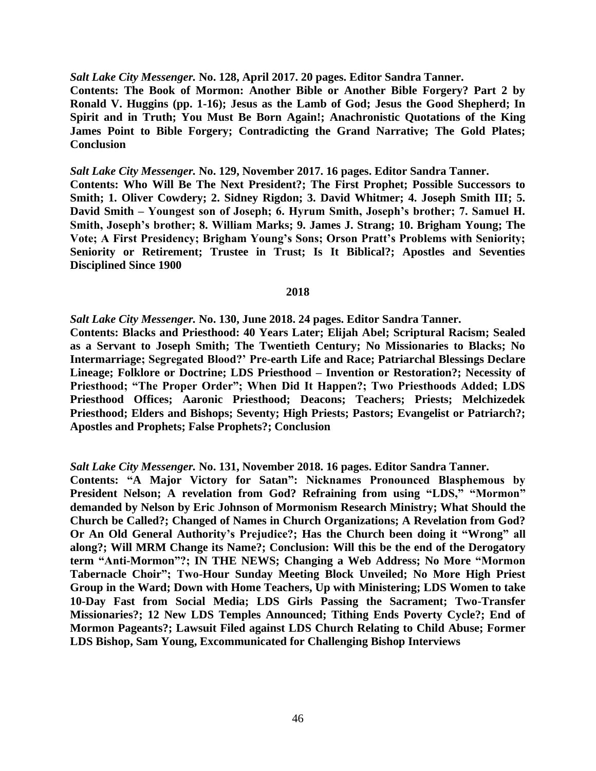*Salt Lake City Messenger.* **No. 128, April 2017. 20 pages. Editor Sandra Tanner.**

**Contents: The Book of Mormon: Another Bible or Another Bible Forgery? Part 2 by Ronald V. Huggins (pp. 1-16); Jesus as the Lamb of God; Jesus the Good Shepherd; In Spirit and in Truth; You Must Be Born Again!; Anachronistic Quotations of the King James Point to Bible Forgery; Contradicting the Grand Narrative; The Gold Plates; Conclusion**

*Salt Lake City Messenger.* **No. 129, November 2017. 16 pages. Editor Sandra Tanner. Contents: Who Will Be The Next President?; The First Prophet; Possible Successors to Smith; 1. Oliver Cowdery; 2. Sidney Rigdon; 3. David Whitmer; 4. Joseph Smith III; 5. David Smith – Youngest son of Joseph; 6. Hyrum Smith, Joseph's brother; 7. Samuel H. Smith, Joseph's brother; 8. William Marks; 9. James J. Strang; 10. Brigham Young; The Vote; A First Presidency; Brigham Young's Sons; Orson Pratt's Problems with Seniority; Seniority or Retirement; Trustee in Trust; Is It Biblical?; Apostles and Seventies Disciplined Since 1900**

## **2018**

*Salt Lake City Messenger.* **No. 130, June 2018. 24 pages. Editor Sandra Tanner.**

**Contents: Blacks and Priesthood: 40 Years Later; Elijah Abel; Scriptural Racism; Sealed as a Servant to Joseph Smith; The Twentieth Century; No Missionaries to Blacks; No Intermarriage; Segregated Blood?' Pre-earth Life and Race; Patriarchal Blessings Declare Lineage; Folklore or Doctrine; LDS Priesthood – Invention or Restoration?; Necessity of Priesthood; "The Proper Order"; When Did It Happen?; Two Priesthoods Added; LDS Priesthood Offices; Aaronic Priesthood; Deacons; Teachers; Priests; Melchizedek Priesthood; Elders and Bishops; Seventy; High Priests; Pastors; Evangelist or Patriarch?; Apostles and Prophets; False Prophets?; Conclusion**

*Salt Lake City Messenger.* **No. 131, November 2018. 16 pages. Editor Sandra Tanner.**

**Contents: "A Major Victory for Satan": Nicknames Pronounced Blasphemous by**  President Nelson; A revelation from God? Refraining from using "LDS," "Mormon" **demanded by Nelson by Eric Johnson of Mormonism Research Ministry; What Should the Church be Called?; Changed of Names in Church Organizations; A Revelation from God? Or An Old General Authority's Prejudice?; Has the Church been doing it "Wrong" all along?; Will MRM Change its Name?; Conclusion: Will this be the end of the Derogatory term "Anti-Mormon"?; IN THE NEWS; Changing a Web Address; No More "Mormon Tabernacle Choir"; Two-Hour Sunday Meeting Block Unveiled; No More High Priest Group in the Ward; Down with Home Teachers, Up with Ministering; LDS Women to take 10-Day Fast from Social Media; LDS Girls Passing the Sacrament; Two-Transfer Missionaries?; 12 New LDS Temples Announced; Tithing Ends Poverty Cycle?; End of Mormon Pageants?; Lawsuit Filed against LDS Church Relating to Child Abuse; Former LDS Bishop, Sam Young, Excommunicated for Challenging Bishop Interviews**